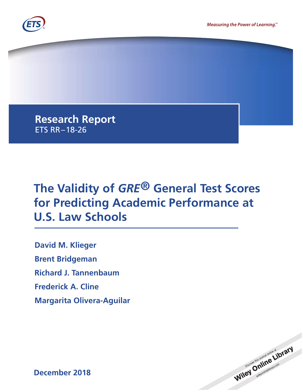

**Research Report** ETS RR–18-26

# **The Validity of** *GRE***® General Test Scores for Predicting Academic Performance at U.S. Law Schools**

**David M. Klieger Brent Bridgeman Richard J. Tannenbaum Frederick A. Cline Margarita Olivera-Aguilar**



**December 2018**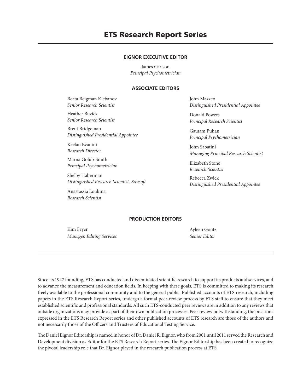# **ETS Research Report Series**

# **EIGNOR EXECUTIVE EDITOR**

James Carlson *Principal Psychometrician*

# **ASSOCIATE EDITORS**

Beata Beigman Klebanov *Senior Research Scientist*

Heather Buzick *Senior Research Scientist*

Brent Bridgeman *Distinguished Presidential Appointee*

Keelan Evanini *Research Director*

Marna Golub-Smith *Principal Psychometrician*

Shelby Haberman *Distinguished Research Scientist, Edusoft*

Anastassia Loukina *Research Scientist*

John Mazzeo *Distinguished Presidential Appointee*

Donald Powers *Principal Research Scientist*

Gautam Puhan *Principal Psychometrician*

John Sabatini *Managing Principal Research Scientist*

Elizabeth Stone *Research Scientist*

Rebecca Zwick *Distinguished Presidential Appointee*

# **PRODUCTION EDITORS**

Kim Fryer *Manager, Editing Services*

Ayleen Gontz *Senior Editor*

Since its 1947 founding, ETS has conducted and disseminated scientific research to support its products and services, and to advance the measurement and education fields. In keeping with these goals, ETS is committed to making its research freely available to the professional community and to the general public. Published accounts of ETS research, including papers in the ETS Research Report series, undergo a formal peer-review process by ETS staff to ensure that they meet established scientific and professional standards. All such ETS-conducted peer reviews are in addition to any reviews that outside organizations may provide as part of their own publication processes. Peer review notwithstanding, the positions expressed in the ETS Research Report series and other published accounts of ETS research are those of the authors and not necessarily those of the Officers and Trustees of Educational Testing Service.

The Daniel Eignor Editorship is named in honor of Dr. Daniel R. Eignor, who from 2001 until 2011 served the Research and Development division as Editor for the ETS Research Report series. The Eignor Editorship has been created to recognize the pivotal leadership role that Dr. Eignor played in the research publication process at ETS.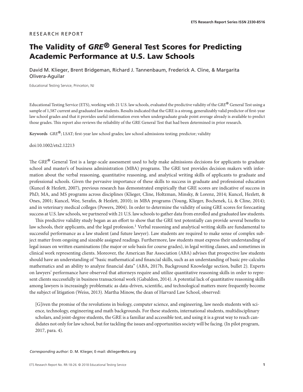# RESEARCH REPORT

# **The Validity of** *GRE***® General Test Scores for Predicting Academic Performance at U.S. Law Schools**

David M. Klieger, Brent Bridgeman, Richard J. Tannenbaum, Frederick A. Cline, & Margarita Olivera-Aguilar

Educational Testing Service, Princeton, NJ

Educational Testing Service (ETS), working with 21 U.S. law schools, evaluated the predictive validity of the *GRE*® General Test using a sample of 1,587 current and graduated law students. Results indicated that the GRE is a strong, generalizably valid predictor of first-year law school grades and that it provides useful information even when undergraduate grade point average already is available to predict those grades. This report also reviews the reliability of the GRE General Test that had been determined in prior research.

**Keywords** *GRE*®; LSAT; first-year law school grades; law school admissions testing; predictor; validity

doi:10.1002/ets2.12213

The *GRE*® General Test is a large-scale assessment used to help make admissions decisions for applicants to graduate school and master's of business administration (MBA) programs. The GRE test provides decision makers with information about the verbal reasoning, quantitative reasoning, and analytical writing skills of applicants to graduate and professional schools. Given the pervasive importance of these skills to success in graduate and professional education (Kuncel & Hezlett, 2007), previous research has demonstrated empirically that GRE scores are indicative of success in PhD, MA, and MS programs across disciplines (Klieger, Cline, Holtzman, Minsky, & Lorenz, 2014; Kuncel, Hezlett, & Ones, 2001; Kuncel, Wee, Serafin, & Hezlett, 2010); in MBA programs (Young, Klieger, Bochenek, Li, & Cline, 2014); and in veterinary medical colleges (Powers, 2004). In order to determine the validity of using GRE scores for forecasting success at U.S. law schools, we partnered with 21 U.S. law schools to gather data from enrolled and graduated law students.

This predictive validity study began as an effort to show that the GRE test potentially can provide several benefits to law schools, their applicants, and the legal profession.<sup>1</sup> Verbal reasoning and analytical writing skills are fundamental to successful performance as a law student (and future lawyer). Law students are required to make sense of complex subject matter from ongoing and sizeable assigned readings. Furthermore, law students must express their understanding of legal issues on written examinations (the major or sole basis for course grades), in legal writing classes, and sometimes in clinical work representing clients. Moreover, the American Bar Association (ABA) advises that prospective law students should have an understanding of "basic mathematical and financial skills, such as an understanding of basic pre-calculus mathematics and an ability to analyze financial data" (ABA, 2017b, Background Knowledge section, bullet 2). Experts on lawyers' performance have observed that attorneys require and utilize quantitative reasoning skills in order to represent clients successfully in business transactional work (Gabaldon, 2014). A potential lack of quantitative reasoning skills among lawyers is increasingly problematic as data-driven, scientific, and technological matters more frequently become the subject of litigation (Weiss, 2013). Martha Minow, the dean of Harvard Law School, observed:

[G]iven the promise of the revolutions in biology, computer science, and engineering, law needs students with science, technology, engineering and math backgrounds. For these students, international students, multidisciplinary scholars, and joint-degree students, the GRE is a familiar and accessible test, and using it is a great way to reach candidates not only for law school, but for tackling the issues and opportunities society will be facing. (In pilot program, 2017, para. 4).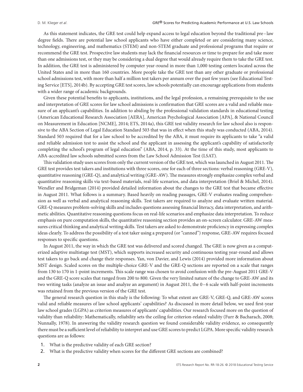As this statement indicates, the GRE test could help expand access to legal education beyond the traditional pre–law degree fields. There are potential law school applicants who have either completed or are considering many science, technology, engineering, and mathematics (STEM) and non-STEM graduate and professional programs that require or recommend the GRE test. Prospective law students may lack the financial resources or time to prepare for and take more than one admissions test, or they may be considering a dual degree that would already require them to take the GRE test. In addition, the GRE test is administered by computer year-round in more than 1,000 testing centers located across the United States and in more than 160 countries. More people take the GRE test than any other graduate or professional school admissions test, with more than half a million test takers per annum over the past few years (see Educational Testing Service [ETS], 2014b). By accepting GRE test scores, law schools potentially can encourage applications from students with a wider range of academic backgrounds.

Given these potential benefits to applicants, institutions, and the legal profession, a remaining prerequisite to the use and interpretation of GRE scores for law school admissions is confirmation that GRE scores are a valid and reliable measure of an applicant's capabilities. In addition to abiding by the professional validation standards in educational testing (American Educational Research Association [AERA], American Psychological Association [APA], & National Council on Measurement in Education [NCME], 2014; ETS, 2014a), this GRE test validity research for law school also is responsive to the ABA Section of Legal Education Standard 503 that was in effect when this study was conducted (ABA, 2014). Standard 503 required that for a law school to be accredited by the ABA, it must require its applicants to take "a valid and reliable admission test to assist the school and the applicant in assessing the applicant's capability of satisfactorily completing the school's program of legal education" (ABA, 2014, p. 33). At the time of this study, most applicants to ABA-accredited law schools submitted scores from the Law School Admission Test (LSAT).

This validation study uses scores from only the current version of the GRE test, which was launched in August 2011. The GRE test provides test takers and institutions with three scores, one for each of three sections: verbal reasoning (GRE-V), quantitative reasoning (GRE-Q), and analytical writing (GRE-AW). The measures strongly emphasize complex verbal and quantitative reasoning skills via text-based materials, real-life scenarios, and data interpretation (Briel & Michel, 2014). Wendler and Bridgeman (2014) provided detailed information about the changes to the GRE test that became effective in August 2011. What follows is a summary. Based heavily on reading passages, GRE-V evaluates reading comprehension as well as verbal and analytical reasoning skills. Test takers are required to analyze and evaluate written material. GRE-Q measures problem-solving skills and includes questions assessing financial literacy, data interpretation, and arithmetic abilities. Quantitative reasoning questions focus on real-life scenarios and emphasize data interpretation. To reduce emphasis on pure computation skills, the quantitative reasoning section provides an on-screen calculator. GRE-AW measures critical thinking and analytical writing skills. Test takers are asked to demonstrate proficiency in expressing complex ideas clearly. To address the possibility of a test taker using a prepared (or "canned") response, GRE-AW requires focused responses to specific questions.

In August 2011, the way in which the GRE test was delivered and scored changed. The GRE is now given as a computerized adaptive multistage test (MST), which supports increased security and continuous testing year-round and allows test takers to go back and change their responses. Yan, von Davier, and Lewis (2014) provided more information about MST design. Scaled scores on the multiple-choice GRE-V and the GRE-Q sections are reported on a scale that ranges from 130 to 170 in 1-point increments. This scale range was chosen to avoid confusion with the pre-August 2011 GRE-V and the GRE-Q score scales that ranged from 200 to 800. Given the very limited nature of the change to GRE-AW and its two writing tasks (analyze an issue and analyze an argument) in August 2011, the 0–6 scale with half-point increments was retained from the previous version of the GRE test.

The general research question in this study is the following: To what extent are GRE-V, GRE-Q, and GRE-AW scores valid and reliable measures of law school applicants' capabilities? As discussed in more detail below, we used first-year law school grades (LGPA) as criterion measures of applicants' capabilities. Our research focused more on the question of validity than reliability: Mathematically, reliability sets the ceiling for criterion-related validity (Furr & Bacharach, 2008; Nunnally, 1978). In answering the validity research question we found considerable validity evidence, so consequently there must be a sufficient level of reliability to interpret and use GRE scores to predict LGPA. More specific validity research questions are as follows:

- 1. What is the predictive validity of each GRE section?
- 2. What is the predictive validity when scores for the different GRE sections are combined?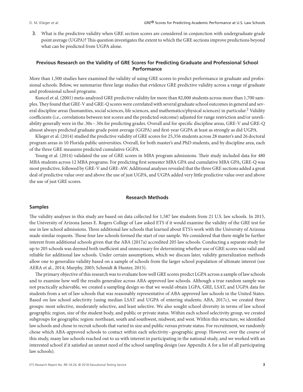3. What is the predictive validity when GRE section scores are considered in conjunction with undergraduate grade point average (UGPA)? This question investigates the extent to which the GRE sections improve predictions beyond what can be predicted from UGPA alone.

# **Previous Research on the Validity of GRE Scores for Predicting Graduate and Professional School Performance**

More than 1,500 studies have examined the validity of using GRE scores to predict performance in graduate and professional schools. Below, we summarize three large studies that evidence GRE predictive validity across a range of graduate and professional school programs.

Kuncel et al. (2001) meta-analyzed GRE predictive validity for more than 82,000 students across more than 1,700 samples.They found that GRE-V and GRE-Q scores were correlated with several graduate school outcomes in general and several discipline areas (humanities, social sciences, life sciences, and mathematics/physical sciences) in particular.2 Validity coefficients (i.e., correlations between test scores and the predicted outcome) adjusted for range restriction and/or unreliability generally were in the .30s–.50s for predicting grades. Overall and for specific discipline areas, GRE-V and GRE-Q almost always predicted graduate grade point average (GGPA) and first-year GGPA at least as strongly as did UGPA.

Klieger et al. (2014) studied the predictive validity of GRE scores for 25,356 students across 28 master's and 26 doctoral program areas in 10 Florida public universities. Overall, for both master's and PhD students, and by discipline area, each of the three GRE measures predicted cumulative GGPA.

Young et al. (2014) validated the use of GRE scores in MBA program admissions. Their study included data for 480 MBA students across 12 MBA programs. For predicting first semester MBA GPA and cumulative MBA GPA, GRE-Q was most predictive, followed by GRE-V and GRE-AW. Additional analyses revealed that the three GRE sections added a great deal of predictive value over and above the use of just UGPA, and UGPA added very little predictive value over and above the use of just GRE scores.

#### **Research Methods**

# **Samples**

The validity analyses in this study are based on data collected for 1,587 law students from 21 U.S. law schools. In 2015, the University of Arizona James E. Rogers College of Law asked ETS if it would examine the validity of the GRE test for use in law school admissions. Three additional law schools that learned about ETS's work with the University of Arizona made similar requests. Those four law schools formed the start of our sample. We considered that there might be further interest from additional schools given that the ABA (2017a) accredited 205 law schools. Conducting a separate study for up to 205 schools was deemed both inefficient and unnecessary for determining whether use of GRE scores was valid and reliable for additional law schools. Under certain assumptions, which we discuss later, validity generalization methods allow one to generalize validity based on a sample of schools from the larger school population of ultimate interest (see AERA et al., 2014; Murphy, 2003; Schmidt & Hunter, 2015).

The primary objective of this research was to evaluate how well GRE scores predict LGPA across a sample of law schools and to examine how well the results generalize across ABA-approved law schools. Although a true random sample was not practically achievable, we created a sampling design so that we would obtain LGPA, GRE, LSAT, and UGPA data for students from a set of law schools that was reasonably representative of ABA-approved law schools in the United States. Based on law school selectivity (using median LSAT and UGPA of entering students; ABA, 2017c), we created three groups: most selective, moderately selective, and least selective. We also sought school diversity in terms of law school geographic region, size of the student body, and public or private status. Within each school selectivity group, we created subgroups for geographic region: northeast, south and southwest, midwest, and west. Within this structure, we identified law schools and chose to recruit schools that varied in size and public versus private status. For recruitment, we randomly chose which ABA-approved schools to contact within each selectivity–geographic group. However, over the course of this study, many law schools reached out to us with interest in participating in the national study, and we worked with an interested school if it satisfied an unmet need of the school sampling design (see Appendix A for a list of all participating law schools).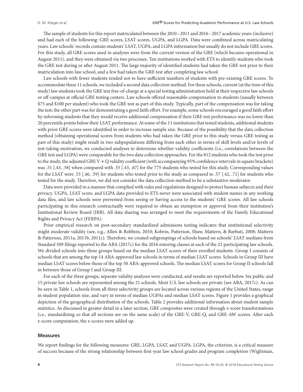The sample of students for this report matriculated between the 2010–2011 and 2016–2017 academic years (inclusive) and had each of the following: GRE scores, LSAT scores, UGPA, and LGPA. Data were combined across matriculating years. Law schools' records contain students' LSAT, UGPA, and LGPA information but usually do not include GRE scores. For this study, all GRE scores used in analyses were from the current version of the GRE (which became operational in August 2011), and they were obtained via two processes. Ten institutions worked with ETS to identify students who took the GRE test during or after August 2011. The large majority of identified students had taken the GRE test prior to their matriculation into law school, and a few had taken the GRE test after completing law school.

Law schools with fewer students tended not to have sufficient numbers of students with pre-existing GRE scores. To accommodate these 11 schools, we included a second data collection method. For these schools, current (at the time of this study) law students took the GRE test free-of-charge at a special testing administration held at their respective law schools or off-campus at official GRE testing centers. Law schools offered reasonable compensation to students (usually between \$75 and \$100 per student) who took the GRE test as part of this study. Typically, part of the compensation was for taking the test; the other part was for demonstrating a good faith effort. For example, some schools encouraged a good faith effort by informing students that they would receive additional compensation if their GRE test performance was no lower than 20 percentile points below their LSAT performance. At some of the 11 institutions that tested students, additional students with prior GRE scores were identified in order to increase sample size. Because of the possibility that the data collection method (obtaining operational scores from students who had taken the GRE prior to this study versus GRE testing as part of this study) might result in two subpopulations differing from each other in terms of skill levels and/or levels of test-taking motivation, we conducted analyses to determine whether validity coefficients (i.e., correlations between the GRE test and LGPA) were comparable for the two data collection approaches. For the 812 students who took the test prior to the study, the adjusted GRE V + Q validity coefficient (with accompanying 95% confidence intervals in square brackets) was .51 [.43, .58] when compared with .55 [.43, .67] for the 775 students who tested for this study. Corresponding values for the LSAT were .53 [.46, .59] for students who tested prior to the study as compared to .57 [.42, .71] for students who tested for the study. Therefore, we did not consider the data collection method to be a substantive moderator.

Data were provided in a manner that complied with rules and regulations designed to protect human subjects and their privacy. UGPA, LSAT score, and LGPA data provided to ETS never were associated with student names in any working data files, and law schools were prevented from seeing or having access to the students' GRE scores. All law schools participating in this research contractually were required to obtain an exemption or approval from their institution's Institutional Review Board (IRB). All data sharing was arranged to meet the requirements of the Family Educational Rights and Privacy Act (FERPA).

Prior empirical research on post-secondary standardized admissions testing indicates that institutional selectivity might moderate validity (see, e.g., Allen & Robbins, 2010; Kobrin, Patterson, Shaw, Mattern, & Barbuti, 2008; Mattern & Patterson, 2011a, 2011b, 2011c). Therefore, we created subgroupings of schools based on schools' LSAT medians from Standard 509 filings reported to the ABA (2017c) for the 2016 entering classes at each of the 21 participating law schools. We divided schools into three groups based on the median LSAT scores of their enrolled students. Group I consists of schools that are among the top 14 ABA-approved law schools in terms of median LSAT scores. Schools in Group III have median LSAT scores below those of the top 50 ABA-approved schools. The median LSAT scores for Group II schools fall in between those of Group I and Group III.

For each of the three groups, separate validity analyses were conducted, and results are reported below. Six public and 15 private law schools are represented among the 21 schools. Most U.S. law schools are private (see ABA, 2017c). As can be seen in Table 1, schools from all three selectivity groups are located across various regions of the United States, range in student population size, and vary in terms of median UGPAs and median LSAT scores. Figure 1 provides a graphical depiction of the geographical distribution of the schools. Table 2 provides additional information about student sample statistics. As discussed in greater detail in a later section, GRE composites were created through z-score transformations (i.e., standardizing so that all sections are on the same scale) of the GRE-V, GRE-Q, and GRE-AW scores. After each z-score computation, the z-scores were added up.

#### **Measures**

We report findings for the following measures: GRE, LGPA, LSAT, and UGPA. LGPA, the criterion, is a critical measure of success because of the strong relationship between first-year law school grades and program completion (Wightman,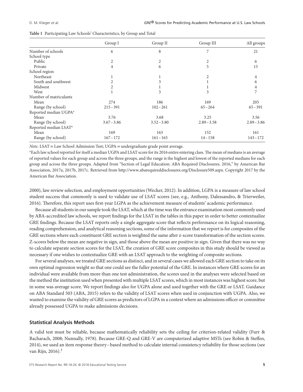|                                   | Group I        | Group II      | Group III      | All groups    |
|-----------------------------------|----------------|---------------|----------------|---------------|
| Number of schools                 | 6              | 8             | 7              | 21            |
| School type                       |                |               |                |               |
| Public                            | $\overline{2}$ | 2             | 2              | 6             |
| Private                           | 4              | 6             | 5              | 15            |
| School region                     |                |               |                |               |
| Northeast                         |                |               | $\overline{2}$ | 4             |
| South and southwest               | 2              |               |                | 6             |
| Midwest                           | 2              |               |                | 4             |
| West                              |                | 3             | 3              | 7             |
| Number of matriculants            |                |               |                |               |
| Mean                              | 274            | 186           | 169            | 205           |
| Range (by school)                 | $215 - 391$    | $102 - 261$   | $65 - 264$     | $65 - 391$    |
| Reported median UGPA <sup>a</sup> |                |               |                |               |
| Mean                              | 3.76           | 3.68          | 3.25           | 3.56          |
| Range (by school)                 | $3.67 - 3.86$  | $3.52 - 3.80$ | $2.89 - 3.58$  | $2.89 - 3.86$ |
| Reported median LSAT <sup>a</sup> |                |               |                |               |
| Mean                              | 169            | 163           | 152            | 161           |
| Range (by school)                 | $167 - 172$    | $161 - 165$   | $14 - 158$     | $143 - 172$   |

**Table 1** Participating Law Schools' Characteristics, by Group and Total

*Note*. LSAT = Law School Admission Test; UGPA = undergraduate grade point average.

a Each law school reported for itself a median UGPA and LSAT score for its 2016 entire entering class.The mean of medians is an average of reported values for each group and across the three groups, and the range is the highest and lowest of the reported medians for each group and across the three groups. Adapted from "Section of Legal Education: ABA Required Disclosures. 2016," by American Bar Association, 2017a, 2017b, 2017c. Retrieved from [http://www.abarequireddisclosures.org/Disclosure509.aspx.](http://www.abarequireddisclosures.org/Disclosure509.aspx) Copyright 2017 by the American Bar Association.

2000), law review selection, and employment opportunities (Wecker, 2012). In addition, LGPA is a measure of law school student success that commonly is used to validate use of LSAT scores (see, e.g., Anthony, Dalessandro, & Trierweiler, 2016). Therefore, this report uses first-year LGPA as the achievement measure of students' academic performance.

Because all students in our sample took the LSAT, which at the time was the entrance examination most commonly used by ABA-accredited law schools, we report findings for the LSAT in the tables in this paper in order to better contextualize GRE findings. Because the LSAT reports only a single aggregate score that reflects performance on its logical reasoning, reading comprehension, and analytical reasoning sections, some of the information that we report is for composites of the GRE sections where each constituent GRE section is weighted the same after z-score transformation of the section scores. Z-scores below the mean are negative in sign, and those above the mean are positive in sign. Given that there was no way to calculate separate section scores for the LSAT, the creation of GRE score composites in this study should be viewed as necessary if one wishes to contextualize GRE with an LSAT approach to the weighting of composite sections.

For several analyses, we treated GRE sections as distinct, and in several cases we allowed each GRE section to take on its own optimal regression weight so that one could see the fuller potential of the GRE. In instances where GRE scores for an individual were available from more than one test administration, the scores used in the analyses were selected based on the method the institution used when presented with multiple LSAT scores, which in most instances was highest score, but in some was average score. We report findings also for UGPA alone and used together with the GRE or LSAT. Guidance on ABA Standard 503 (ABA, 2015) refers to the validity of LSAT scores when used in conjunction with UGPA. Also, we wanted to examine the validity of GRE scores as predictors of LGPA in a context where an admissions officer or committee already possessed UGPA to make admissions decisions.

#### **Statistical Analysis Methods**

A valid test must be reliable, because mathematically reliability sets the ceiling for criterion-related validity (Furr & Bacharach, 2008; Nunnally, 1978). Because GRE-Q and GRE-V are computerized adaptive MSTs (see Robin & Steffen, 2014), we used an item response theory–based method to calculate internal consistency reliability for those sections (see van Rijn, 2016). $3$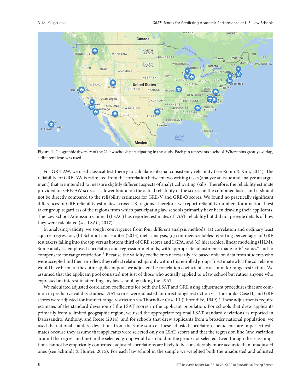

**Figure 1** Geographic diversity of the 21 law schools participating in the study. Each pin represents a school. Where pins greatly overlap, a different icon was used.

For GRE-AW, we used classical test theory to calculate internal consistency reliability (see Robin & Kim, 2014). The reliability for GRE-AW is estimated from the correlation between two writing tasks (analyze an issue and analyze an argument) that are intended to measure slightly different aspects of analytical writing skills. Therefore, the reliability estimate provided for GRE-AW scores is a lower bound on the actual reliability of the scores on the combined tasks, and it should not be directly compared to the reliability estimates for GRE-V and GRE-Q scores. We found no practically significant differences in GRE reliability estimates across U.S. regions. Therefore, we report reliability numbers for a national test taker group regardless of the regions from which participating law schools primarily have been drawing their applicants. The Law School Admission Council (LSAC) has reported estimates of LSAT reliability but did not provide details of how they were calculated (see LSAC, 2017).

In analyzing validity, we sought convergence from four different analysis methods: (a) correlation and ordinary least squares regression, (b) Schmidt and Hunter (2015) meta-analysis, (c) contingency tables reporting percentages of GRE test takers falling into the top versus bottom third of GRE scores and LGPA, and (d) hierarchical linear modeling (HLM). Some analyses employed correlation and regression methods, with appropriate adjustments made to  $R^2$  values<sup>4</sup> and to compensate for range restriction.5 Because the validity coefficients necessarily are based only on data from students who were accepted and then enrolled, they reflect relationships only within this enrolled group. To estimate what the correlation would have been for the entire applicant pool, we adjusted the correlation coefficients to account for range restriction. We assumed that the applicant pool consisted not just of those who actually applied to a law school but rather anyone who expressed an interest in attending any law school by taking the LSAT.

We calculated adjusted correlation coefficients for both the LSAT and GRE using adjustment procedures that are common in predictive validity studies. LSAT scores were adjusted for direct range restriction via Thorndike Case II, and GRE scores were adjusted for indirect range restriction via Thorndike Case III (Thorndike, 1949).<sup>6</sup> These adjustments require estimates of the standard deviation of the LSAT scores in the applicant population. For schools that drew applicants primarily from a limited geographic region, we used the appropriate regional LSAT standard deviations as reported in Dalessandro, Anthony, and Reese (2014), and for schools that drew applicants from a broader national population, we used the national standard deviations from the same source. These adjusted correlation coefficients are imperfect estimates because they assume that applicants were selected only on LSAT scores and that the regression line (and variation around the regression line) in the selected group would also hold in the group not selected. Even though these assumptions cannot be empirically confirmed, adjusted correlations are likely to be considerably more accurate than unadjusted ones (see Schmidt & Hunter, 2015). For each law school in the sample we weighted both the unadjusted and adjusted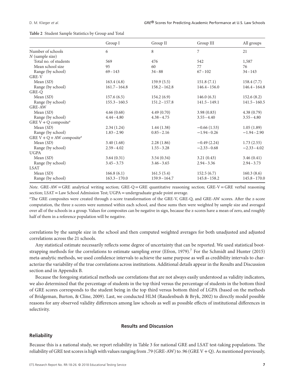|                                         | Group I         | Group II        | Group III       | All groups      |
|-----------------------------------------|-----------------|-----------------|-----------------|-----------------|
| Number of schools                       | 6               | 8               | 7               | 21              |
| $N$ (sample size)                       |                 |                 |                 |                 |
| Total no. of students                   | 569             | 476             | 542             | 1,587           |
| Mean school size                        | 95              | 60              | 77              | 76              |
| Range (by school)                       | $69 - 143$      | $34 - 88$       | $67 - 102$      | $34 - 143$      |
| GRE-V                                   |                 |                 |                 |                 |
| Mean $(SD)$                             | 163.4(4.8)      | 159.9(5.5)      | 151.8(7.1)      | 158.4(7.7)      |
| Range (by school)                       | $161.7 - 164.8$ | $158.2 - 162.8$ | $146.4 - 156.0$ | $146.4 - 164.8$ |
| GRE-Q                                   |                 |                 |                 |                 |
| Mean $(SD)$                             | 157.6(6.5)      | 154.2(6.9)      | 146.0(6.3)      | 152.6(8.2)      |
| Range (by school)                       | $155.3 - 160.5$ | $151.2 - 157.8$ | $141.5 - 149.1$ | $141.5 - 160.5$ |
| <b>GRE-AW</b>                           |                 |                 |                 |                 |
| Mean $(SD)$                             | 4.66(0.68)      | 4.49(0.70)      | 3.98(0.83)      | 4.38(0.79)      |
| Range (by school)                       | $4.44 - 4.80$   | $4.38 - 4.75$   | $3.55 - 4.40$   | $3.55 - 4.80$   |
| GRE $V + Q$ composite <sup>a</sup>      |                 |                 |                 |                 |
| Mean $(SD)$                             | 2.34(1.24)      | 1.44(1.38)      | $-0.66(1.53)$   | 1.05(1.89)      |
| Range (by school)                       | $1.83 - 2.90$   | $0.85 - 2.16$   | $-1.94 - 0.26$  | $-1.94 - 2.90$  |
| GRE $V + Q + AW$ composite <sup>a</sup> |                 |                 |                 |                 |
| Mean $(SD)$                             | 3.40(1.68)      | 2.28(1.86)      | $-0.49(2.24)$   | 1.73(2.55)      |
| Range (by school)                       | $2.59 - 4.02$   | $1.55 - 3.28$   | $-2.33 - 0.68$  | $-2.33 - 4.02$  |
| <b>UGPA</b>                             |                 |                 |                 |                 |
| Mean $(SD)$                             | 3.64(0.31)      | 3.54(0.34)      | 3.21(0.43)      | 3.46(0.41)      |
| Range (by school)                       | $3.45 - 3.73$   | $3.46 - 3.65$   | $2.94 - 3.36$   | $2.94 - 3.73$   |
| <b>LSAT</b>                             |                 |                 |                 |                 |
| Mean $(SD)$                             | 166.8(6.1)      | 161.5(5.4)      | 152.5(6.7)      | 160.3(8.6)      |
| Range (by school)                       | $163.3 - 170.0$ | $159.9 - 164.7$ | $145.8 - 158.2$ | $145.8 - 170.0$ |

*Note*. GRE-AW = GRE analytical writing section; GRE-Q = GRE quantitative reasoning section; GRE-V = GRE verbal reasoning section; LSAT = Law School Admission Test; UGPA = undergraduate grade point average.

a The GRE composites were created through z-score transformation of the GRE-V, GRE-Q, and GRE-AW scores. After the z-score computation, the three z-scores were summed within each school, and these sums then were weighted by sample size and averaged over all of the schools in a group. Values for composites can be negative in sign, because the z-scores have a mean of zero, and roughly half of them in a reference population will be negative.

correlations by the sample size in the school and then computed weighted averages for both unadjusted and adjusted correlations across the 21 schools.

Any statistical estimate necessarily reflects some degree of uncertainty that can be reported. We used statistical bootstrapping methods for the correlations to estimate sampling error (Efron, 1979).<sup>7</sup> For the Schmidt and Hunter (2015) meta-analytic methods, we used confidence intervals to achieve the same purpose as well as credibility intervals to characterize the variability of the true correlations across institutions. Additional details appear in the Results and Discussion section and in Appendix B.

Because the foregoing statistical methods use correlations that are not always easily understood as validity indicators, we also determined that the percentage of students in the top third versus the percentage of students in the bottom third of GRE scores corresponds to the student being in the top third versus bottom third of LGPA (based on the methods of Bridgeman, Burton, & Cline, 2009). Last, we conducted HLM (Raudenbush & Bryk, 2002) to directly model possible reasons for any observed validity differences among law schools as well as possible effects of institutional differences in selectivity.

# **Results and Discussion**

#### **Reliability**

Because this is a national study, we report reliability in Table 3 for national GRE and LSAT test-taking populations. The reliability of GRE test scores is high with values ranging from .79 (GRE-AW) to .96 (GRE V + Q). As mentioned previously,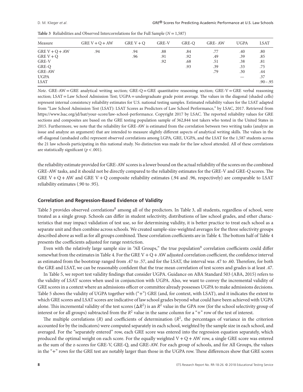|  | Table 3 Reliabilities and Observed Intercorrelations for the Full Sample ( $N = 1,587$ ) |  |  |  |  |  |  |  |
|--|------------------------------------------------------------------------------------------|--|--|--|--|--|--|--|
|--|------------------------------------------------------------------------------------------|--|--|--|--|--|--|--|

| Measure          | GRE $V + Q + AW$ | GRE $V + Q$ | GRE-V | GRE-O | <b>GRE-AW</b> | <b>UGPA</b> | LSAT        |
|------------------|------------------|-------------|-------|-------|---------------|-------------|-------------|
| GRE $V + Q + AW$ | .94              | .94         | .88   | .84   | .77           | .40         | .80         |
| GRE $V + Q$      |                  | .96         | .91   | .92   | .49           | .39         | .85         |
| GRE-V            |                  |             | .92   | .68   | .51           | .38         | .81         |
| GRE-Q            |                  |             |       | .93   | .39           | .33         | .75         |
| GRE-AW           |                  |             |       |       | .79           | .30         | .44         |
| <b>UGPA</b>      |                  |             |       |       |               |             | .37         |
| LSAT             |                  |             |       |       |               |             | $.90 - .95$ |

*Note*. GRE-AW = GRE analytical writing section; GRE-Q = GRE quantitative reasoning section; GRE-V = GRE verbal reasoning section; LSAT = Law School Admission Test; UGPA = undergraduate grade point average. The values in the diagonal (shaded cells) represent internal consistency reliability estimates for U.S. national testing samples. Estimated reliability values for the LSAT adapted from "Law School Admission Test (LSAT): LSAT Scores as Predictors of Law School Performance," by LSAC, 2017. Retrieved from [https://www.lsac.org/jd/lsat/your-score/law-school-performance.](https://www.lsac.org/jd/lsat/your-score/law-school-performance) Copyright 2017 by LSAC. The reported reliability values for GRE sections and composites are based on the GRE testing population sample of 362,844 test takers who tested in the United States in 2015. Furthermore, we note that the reliability for GRE-AW is estimated from the correlation between two writing tasks (analyze an issue and analyze an argument) that are intended to measure slightly different aspects of analytical writing skills. The values in the off-diagonal (unshaded cells) represent observed correlations among LGPA, GRE, UGPA, and the LSAT for the 1,587 students across the 21 law schools participating in this national study. No distinction was made for the law school attended. All of these correlations are statistically significant (*p<*.001).

the reliability estimate provided for GRE-AW scores is a lower bound on the actual reliability of the scores on the combined GRE-AW tasks, and it should not be directly compared to the reliability estimates for the GRE-V and GRE-Q scores. The GRE V + Q + AW and GRE V + Q composite reliability estimates (.94 and .96, respectively) are comparable to LSAT reliability estimates (.90 to .95).

#### **Correlation and Regression-Based Evidence of Validity**

Table 3 provides observed correlations<sup>8</sup> among all of the predictors. In Table 3, all students, regardless of school, were treated as a single group. Schools can differ in student selectivity, distributions of law school grades, and other characteristics that may impact validation of test use, so for determining validity, it is better practice to treat each school as a separate unit and then combine across schools. We created sample-size-weighted averages for the three selectivity groups described above as well as for all groups combined. These correlation coefficients are in Table 4. The bottom half of Table 4 presents the coefficients adjusted for range restriction.

Even with the relatively large sample size in "All Groups," the true population<sup>9</sup> correlation coefficients could differ somewhat from the estimates in Table 4. For the GRE V + Q + AW adjusted correlation coefficient, the confidence interval as estimated from the bootstrap ranged from .47 to .57, and for the LSAT, the interval was .47 to .60. Therefore, for both the GRE and LSAT, we can be reasonably confident that the true mean correlation of test scores and grades is at least .47.

In Table 5, we report test validity findings that consider UGPA. Guidance on ABA Standard 503 (ABA, 2015) refers to the validity of LSAT scores when used in conjunction with UGPA. Also, we want to convey the incremental validity of GRE scores in a context where an admissions officer or committee already possesses UGPA to make admissions decisions. Table 5 shows the validity of UGPA together with ("+") GRE (and, for context, with LSAT), and it indicates the extent to which GRE scores and LSAT scores are indicative of law school grades beyond what could have been achieved with UGPA alone. This incremental validity of the test scores (Δ*R*2) is an *R*<sup>2</sup> value in the GPA row (for the school selectivity group of interest or for all groups) subtracted from the  $R^2$  value in the same column for a "+" row of the test of interest.

The multiple correlations  $(R)$  and coefficients of determination  $(R^2)$ , the percentages of variance in the criterion accounted for by the indicators) were computed separately in each school, weighted by the sample size in each school, and averaged. For the "separately entered" row, each GRE score was entered into the regression equation separately, which produced the optimal weight on each score. For the equally weighted  $V + Q + AW$  row, a single GRE score was entered as the sum of the z-scores for GRE-V, GRE-Q, and GRE-AW. For each group of schools, and for All Groups, the values in the "+" rows for the GRE test are notably larger than those in the UGPA row. These differences show that GRE scores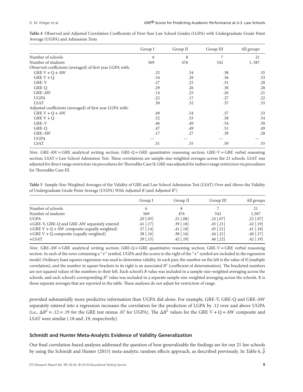|                                                           | Group I | Group II | Group III | All groups |
|-----------------------------------------------------------|---------|----------|-----------|------------|
| Number of schools                                         | 6       | 8        | 7         | 21         |
| Number of students                                        | 569     | 476      | 542       | 1,587      |
| Observed coefficients (averaged) of first year LGPA with: |         |          |           |            |
| GRE $V + Q + AW$                                          | .32     | .34      | .38       | .35        |
| GRE $V + Q$                                               | .34     | .29      | .36       | .33        |
| GRE-V                                                     | .27     | .25      | .31       | .28        |
| GRE-O                                                     | .29     | .26      | .30       | .28        |
| <b>GRE-AW</b>                                             | .14     | .25      | .26       | .21        |
| <b>UGPA</b>                                               | .22     | .17      | .27       | .22        |
| <b>LSAT</b>                                               | .30     | .32      | .37       | .33        |
| Adjusted coefficients (averaged) of first year LGPA with: |         |          |           |            |
| GRE $V + Q + AW$                                          | .49     | .54      | .57       | .53        |
| GRE $V + Q$                                               | .52     | .53      | .58       | .54        |
| GRE-V                                                     | .46     | .49      | .54       | .50        |
| GRE-O                                                     | .47     | .49      | .51       | .49        |
| <b>GRE-AW</b>                                             | .17     | .27      | .39       | .28        |
| <b>UGPA</b>                                               |         |          |           |            |
| <b>LSAT</b>                                               | .51     | .55      | .59       | .55        |

**Table 4** Observed and Adjusted Correlation Coefficients of First-Year Law School Grades (LGPA) with Undergraduate Grade Point Average (UGPA) and Admission Tests

*Note*. GRE-AW = GRE analytical writing section; GRE-Q = GRE quantitative reasoning section; GRE-V = GRE verbal reasoning section; LSAT = Law School Admission Test. These correlations are sample-size-weighted averages across the 21 schools. LSAT was adjusted for direct range restriction via procedures forThorndike Case II; GRE was adjusted for indirect range restriction via procedures for Thorndike Case III.

**Table 5** Sample-Size-Weighted Averages of the Validity of GRE and Law School Admission Test (LSAT) Over and Above the Validity of Undergraduate Grade Point Average (UGPA) With Adjusted *R* (and Adjusted *R*2)

|                                                | Group I     | Group II    | Group III     | All groups    |
|------------------------------------------------|-------------|-------------|---------------|---------------|
| Number of schools                              |             | 8           |               | 21            |
| Number of students                             | 569         | 476         | 542           | 1,587         |
| <b>UGPA</b>                                    | $.20$ [.05] | $.21$ [.08] | $.24$ [.07]   | $.22$ [.07]   |
| +GRE-V, GRE-Q and GRE-AW separately entered    | $.41$ [.17] | $.39$ [.18] | $.45$ $(.21)$ | $.42$ [.19]   |
| +GRE $V$ + Q + AW composite (equally weighted) | $.37$ [.14] | $.41$ [.18] | $.45$ $(.21)$ | $.41$ $[.18]$ |
| $+$ GRE V + Q composite (equally weighted)     | $.38$ [.16] | $.38$ [.16] | $.44$ [.21]   | $.40$ [.17]   |
| $+$ LSAT                                       | $.39$ [.15] | $.42$ [.19] | $.46$ [.22]   | $.42$ [.19]   |

*Note*. GRE-AW = GRE analytical writing section; GRE-Q = GRE quantitative reasoning section; GRE-V = GRE verbal reasoning section. In each of the rows containing a "+" symbol, UGPA and the scores to the right of the "+" symbol are included in the regression model. Ordinary least squares regression was used to determine validity. In each pair, the number on the left is the value of *R* (multiple correlation), and the number in square brackets to its right is an associated  $R<sup>2</sup>$  (coefficient of determination). The bracketed numbers are not squared values of the numbers to their left. Each school's *R* value was included in a sample-size-weighted averaging across the schools, and each school's corresponding  $R^2$  value was included in a separate sample-size-weighted averaging across the schools. It is those separate averages that are reported in the table. These analyses do not adjust for restriction of range.

provided substantially more predictive information than UGPA did alone. For example, GRE-V, GRE-Q and GRE-AW separately entered into a regression increases the correlation for the prediction of LGPA by .12 over and above UGPA (i.e.,  $\Delta R^2 = 0.12 = 0.19$  for the GRE test minus .07 for UGPA). The  $\Delta R^2$  values for the GRE V + Q + AW composite and LSAT were similar (.18 and .19, respectively).

#### **Schmidt and Hunter Meta-Analytic Evidence of Validity Generalization**

Our final correlation-based analyses addressed the question of how generalizable the findings are for our 21 law schools by using the Schmidt and Hunter (2015) meta-analytic random effects approach, as described previously. In Table 6, *̂* ρ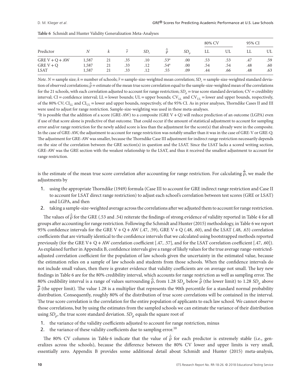|                  |       |    |     |         |                  |     | 80% CV |     | 95% CI |     |
|------------------|-------|----|-----|---------|------------------|-----|--------|-----|--------|-----|
| Predictor        |       |    | r   | SD.     |                  | SD. | LL     | UL  | LL     | UL  |
| GRE $V + Q + AW$ | 1,587 | 21 | .35 | $.10\,$ | .53 <sup>a</sup> | .00 | .53    | .53 | .47    | .59 |
| GRE $V + Q$      | 1,587 | 21 | .33 | .12     | .54 <sup>a</sup> | .00 | .54    | .54 | .48    | .60 |
| <b>LSAT</b>      | 1,587 | 21 | .33 | .12     | .55              | .09 | .44    | .66 | .48    | .63 |

| Table 6 Schmidt and Hunter Validity Generalization Meta-Analyses |
|------------------------------------------------------------------|
|------------------------------------------------------------------|

*Note.*  $N =$  sample size;  $k =$  number of schools;  $\bar{r} =$  sample-size-weighted mean correlation;  $SD_r =$  sample-size-weighted standard deviation of observed correlations;  $\hat{\overline{p}}$  = estimate of the mean true score correlation equal to the sample-size-weighted mean of the correlations for the 21 schools, with each correlation adjusted to account for range restriction; *SD<sub>0</sub>* = true score standard deviation; *CV* = credibility interval; CI = confidence interval; LL = lower bounds; UL = upper bounds;  $CV_{UL}$  and  $CV_{UL}$  = lower and upper bounds, respectively, of the 80% CV;  $\text{CI}_\text{LL}$  and  $\text{CI}_\text{UL}$  = lower and upper bounds, respectively, of the 95% CI. As in prior analyses, Thorndike Cases II and III were used to adjust for range restriction. Sample-size-weighting was used in these meta-analyses.

a It is possible that the addition of a score (GRE-AW) to a composite (GRE V + Q) will reduce prediction of an outcome (LGPA) even if use of that score alone is predictive of that outcome. That could occur if the amount of statistical adjustment to account for sampling error and/or range restriction for the newly added score is less than the adjustment for the score(s) that already were in the composite. In the case of GRE-AW, the adjustment to account for range restriction was notably smaller than it was in the case of GRE-V or GRE-Q. The adjustment for GRE-AW was smaller, because the Thorndike Case III adjustment for indirect range restriction necessarily depends on the size of the correlation between the GRE section(s) in question and the LSAT. Since the LSAT lacks a scored writing section, GRE-AW was the GRE section with the weakest relationship to the LSAT, and thus it received the smallest adjustment to account for range restriction.

is the estimate of the mean true score correlation after accounting for range restriction. For calculating *̂* ρ, we made the adjustments by

- 1. using the appropriate Thorndike (1949) formula (Case III to account for GRE indirect range restriction and Case II to account for LSAT direct range restriction) to adjust each school's correlation between test scores (GRE or LSAT) and LGPA, and then
- 2. taking a sample-size-weighted average across the correlations after we adjusted them to account for range restriction.

The values of  $\hat{\bar{\rho}}$  for the GRE (.53 and .54) reiterate the findings of strong evidence of validity reported in Table 4 for all groups after accounting for range restriction. Following the Schmidt and Hunter (2015) methodology, in Table 6 we report 95% confidence intervals for the GRE V + Q + AW (.47, .59), GRE V + Q (.48, .60), and the LSAT (.48, .63) correlation coefficients that are virtually identical to the confidence intervals that we calculated using bootstrapped methods reported previously (for the GRE V+ Q +AW correlation coefficient [.47, .57], and for the LSAT correlation coefficient [.47, .60]). As explained further in Appendix B, confidence intervals give a range of likely values for the true average range-restrictedadjusted correlation coefficient for the population of law schools given the uncertainty in the estimated value, because the estimation relies on a sample of law schools and students from those schools. When the confidence intervals do not include small values, then there is greater evidence that validity coefficients are on average not small. The key new findings in Table 6 are for the 80% credibility interval, which accounts for range restriction as well as sampling error. The 80% credibility interval is a range of values surrounding  $\hat{\vec{\rho}}$ , from 1.28 *SD<sub>ρ</sub>* below  $\hat{\vec{\rho}}$  (the lower limit) to 1.28 *SD<sub>ρ</sub>* above  $\hat{\overline{\rho}}$  (the upper limit). The value 1.28 is a multiplier that represents the 90th percentile for a standard normal probability distribution. Consequently, roughly 80% of the distribution of true score correlations will be contained in the interval. The true score correlation is the correlation for the entire population of applicants to each law school. We cannot observe those correlations, but by using the estimates from the sampled schools we can estimate the variance of their distribution using *SD*<sub>ρ</sub>, the true score standard deviation. *SD*<sub>ρ</sub> equals the square root of

- 1. the variance of the validity coefficients adjusted to account for range restriction, minus
- 2. the variance of these validity coefficients due to sampling error.<sup>10</sup>

The 80% CV columns in Table 6 indicate that the value of  $\hat{\bar{\rho}}$  for each predictor is extremely stable (i.e., generalizes across the schools), because the difference between the 80% CV lower and upper limits is very small, essentially zero. Appendix B provides some additional detail about Schmidt and Hunter (2015) meta-analysis,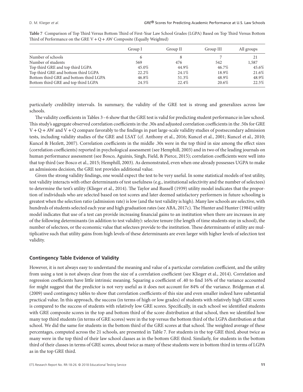|                                        | Group I | Group II | Group III | All groups |
|----------------------------------------|---------|----------|-----------|------------|
| Number of schools                      |         |          |           | 21         |
| Number of students                     | 569     | 476      | 542       | 1,587      |
| Top third GRE and top third LGPA       | 45.0%   | 44.9%    | 46.7%     | 45.6%      |
| Top third GRE and bottom third LGPA    | 22.2%   | $24.1\%$ | 18.9%     | 21.6%      |
| Bottom third GRE and bottom third LGPA | 46.8%   | 51.3%    | 48.9%     | 48.9%      |
| Bottom third GRE and top third LGPA    | 24.5%   | $22.4\%$ | 20.6%     | 22.5%      |

**Table 7** Comparison of Top Third Versus Bottom Third of First-Year Law School Grades (LGPA) Based on Top Third Versus Bottom Third of Performance on the GRE  $V + Q + AW$  Composite (Equally Weighted)

particularly credibility intervals. In summary, the validity of the GRE test is strong and generalizes across law schools.

The validity coefficients in Tables 3–6 show that the GRE test is valid for predicting student performance in law school. This study's aggregate observed correlation coefficients in the .30s and adjusted correlation coefficients in the .50s for GRE  $V + Q + AW$  and  $V + Q$  compare favorably to the findings in past large-scale validity studies of postsecondary admission tests, including validity studies of the GRE and LSAT (cf. Anthony et al., 2016; Kuncel et al., 2001; Kuncel et al., 2010; Kuncel & Hezlett, 2007). Correlation coefficients in the middle .30s were in the top third in size among the effect sizes (correlation coefficients) reported in psychological assessment (see Hemphill, 2003) and in two of the leading journals on human performance assessment (see Bosco, Aguinis, Singh, Field, & Pierce, 2015); correlation coefficients were well into that top third (see Bosco et al., 2015; Hemphill, 2003). As demonstrated, even when one already possesses UGPA to make an admissions decision, the GRE test provides additional value.

Given the strong validity findings, one would expect the test to be very useful. In some statistical models of test utility, test validity interacts with other determinants of test usefulness (e.g., institutional selectivity and the number of selectees) to determine the test's utility (Klieger et al., 2014). The Taylor and Russell (1939) utility model indicates that the proportion of individuals who are selected based on test scores and later deemed satisfactory performers in future schooling is greatest when the selection ratio (admission rate) is low (and the test validity is high). Many law schools are selective, with hundreds of students selected each year and high graduation rates (see ABA, 2017c). The Hunter and Hunter (1984) utility model indicates that use of a test can provide increasing financial gains to an institution when there are increases in any of the following determinants (in addition to test validity): selectee tenure (the length of time students stay in school), the number of selectees, or the economic value that selectees provide to the institution. These determinants of utility are multiplicative such that utility gains from high levels of these determinants are even larger with higher levels of selection test validity.

# **Contingency Table Evidence of Validity**

However, it is not always easy to understand the meaning and value of a particular correlation coefficient, and the utility from using a test is not always clear from the size of a correlation coefficient (see Klieger et al., 2014). Correlation and regression coefficients have little intrinsic meaning. Squaring a coefficient of .40 to find 16% of the variance accounted for might suggest that the predictor is not very useful as it does not account for 84% of the variance. Bridgeman et al. (2009) used contingency tables to show that correlation coefficients of this size and even smaller indeed have substantial practical value. In this approach, the success (in terms of high or low grades) of students with relatively high GRE scores is compared to the success of students with relatively low GRE scores. Specifically, in each school we identified students with GRE composite scores in the top and bottom third of the score distribution at that school, then we identified how many top third students (in terms of GRE scores) were in the top versus the bottom third of the LGPA distribution at that school. We did the same for students in the bottom third of the GRE scores at that school. The weighted average of these percentages, computed across the 21 schools, are presented in Table 7. For students in the top GRE third, about twice as many were in the top third of their law school classes as in the bottom GRE third. Similarly, for students in the bottom third of their classes in terms of GRE scores, about twice as many of these students were in bottom third in terms of LGPA as in the top GRE third.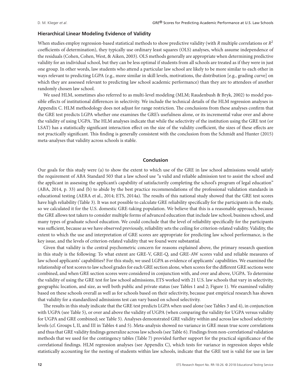#### **Hierarchical Linear Modeling Evidence of Validity**

When studies employ regression-based statistical methods to show predictive validity (with *R* multiple correlations or *R*<sup>2</sup> coefficients of determination), they typically use ordinary least squares (OLS) analyses, which assume independence of the residuals (Cohen, Cohen, West, & Aiken, 2003). OLS methods generally are appropriate when determining predictive validity for an individual school, but they can be less optimal if students from all schools are treated as if they were in just one group. In other words, law students who attend a particular law school are likely to be more similar to each other in ways relevant to predicting LGPA (e.g., more similar in skill levels, motivations, the distribution [e.g., grading curve] on which they are assessed relevant to predicting law school academic performance) than they are to attendees of another randomly chosen law school.

We used HLM, sometimes also referred to as multi-level modeling (MLM; Raudenbush & Bryk, 2002) to model possible effects of institutional differences in selectivity. We include the technical details of the HLM regression analyses in Appendix C. HLM methodology does not adjust for range restriction. The conclusions from these analyses confirm that the GRE test predicts LGPA whether one examines the GRE's usefulness alone, or its incremental value over and above the validity of using UGPA. The HLM analyses indicate that while the selectivity of the institution using the GRE test (or LSAT) has a statistically significant interaction effect on the size of the validity coefficient, the sizes of these effects are not practically significant. This finding is generally consistent with the conclusion from the Schmidt and Hunter (2015) meta-analyses that validity across schools is stable.

# **Conclusion**

Our goals for this study were (a) to show the extent to which use of the GRE in law school admissions would satisfy the requirement of ABA Standard 503 that a law school use "a valid and reliable admission test to assist the school and the applicant in assessing the applicant's capability of satisfactorily completing the school's program of legal education" (ABA, 2014, p. 33) and (b) to abide by the best practice recommendations of the professional validation standards in educational testing (AERA et al., 2014; ETS, 2014a). The results of this national study showed that the GRE test scores have high reliability (Table 3). It was not possible to calculate GRE reliability specifically for the participants in the study, so we calculated it for the U.S. domestic GRE-taking population. We believe that this is a reasonable approach, because the GRE allows test takers to consider multiple forms of advanced education that include law school, business school, and many types of graduate school education. We could conclude that the level of reliability specifically for the participants was sufficient, because as we have observed previously, reliability sets the ceiling for criterion-related validity. Validity, the extent to which the use and interpretation of GRE scores are appropriate for predicting law school performance, is the key issue, and the levels of criterion-related validity that we found were substantial.

Given that validity is the central psychometric concern for reasons explained above, the primary research question in this study is the following: To what extent are GRE-V, GRE-Q, and GRE-AW scores valid and reliable measures of law school applicants' capabilities? For this study, we used LGPA as evidence of applicants' capabilities. We examined the relationship of test scores to law school grades for each GRE section alone, when scores for the different GRE sections were combined, and when GRE section scores were considered in conjunction with, and over and above, UGPA. To determine the validity of using the GRE test for law school admissions, ETS worked with 21 U.S. law schools that vary in selectivity, geographic location, and size, as well both public and private status (see Tables 1 and 2; Figure 1). We examined validity based on these schools overall as well as for schools based on their selectivity, because past empirical research has shown that validity for a standardized admissions test can vary based on school selectivity.

The results in this study indicate that the GRE test predicts LGPA when used alone (see Tables 3 and 4), in conjunction with UGPA (see Table 5), or over and above the validity of UGPA (when comparing the validity for UGPA versus validity for UGPA and GRE combined; see Table 5). Analyses demonstrated GRE validity within and across law school selectivity levels (cf. Groups I, II, and III in Tables 4 and 5). Meta-analysis showed no variance in GRE mean true score correlations and thus that GRE validity findings generalize across law schools (see Table 6). Findings from non-correlational validation methods that we used for the contingency tables (Table 7) provided further support for the practical significance of the correlational findings. HLM regression analyses (see Appendix C), which tests for variance in regression slopes while statistically accounting for the nesting of students within law schools, indicate that the GRE test is valid for use in law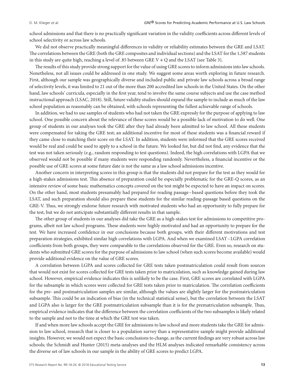school admissions and that there is no practically significant variation in the validity coefficients across different levels of school selectivity or across law schools.

We did not observe practically meaningful differences in validity or reliability estimates between the GRE and LSAT. The correlations between the GRE (both the GRE composites and individual sections) and the LSAT for the 1,587 students in this study are quite high, reaching a level of .85 between GRE V + Q and the LSAT (see Table 3).

The results of this study provide strong support for the value of using GRE scores to inform admissions into law schools. Nonetheless, not all issues could be addressed in one study. We suggest some areas worth exploring in future research. First, although our sample was geographically diverse and included public and private law schools across a broad range of selectivity levels, it was limited to 21 out of the more than 200 accredited law schools in the United States. On the other hand, law schools' curricula, especially in the first year, tend to involve the same course subjects and use the case method instructional approach (LSAC, 2018). Still, future validity studies should expand the sample to include as much of the law school population as reasonably can be obtained, with schools representing the fullest achievable range of schools.

In addition, we had to use samples of students who had not taken the GRE expressly for the purpose of applying to law school. One possible concern about the relevance of these scores would be a possible lack of motivation to do well. One group of students in our analyses took the GRE after they had already been admitted to law school. All these students were compensated for taking the GRE test; an additional incentive for most of these students was a financial reward if they came close to matching their score on the LSAT. In addition, students were informed that the GRE scores received would be real and could be used to apply to a school in the future. We looked for, but did not find, any evidence that the test was not taken seriously (e.g., random responding to test questions). Indeed, the high correlations with LGPA that we observed would not be possible if many students were responding randomly. Nevertheless, a financial incentive or the possible use of GRE scores at some future date is not the same as a law school admissions incentive.

Another concern in interpreting scores in this group is that the students did not prepare for the test as they would for a high-stakes admissions test. This absence of preparation could be especially problematic for the GRE-Q scores, as an intensive review of some basic mathematics concepts covered on the test might be expected to have an impact on scores. On the other hand, most students presumably had prepared for reading passage–based questions before they took the LSAT, and such preparation should also prepare these students for the similar reading-passage based questions on the GRE-V. Thus, we strongly endorse future research with motivated students who had an opportunity to fully prepare for the test, but we do not anticipate substantially different results in that sample.

The other group of students in our analyses did take the GRE as a high-stakes test for admissions to competitive programs, albeit not law school programs. These students were highly motivated and had an opportunity to prepare for the test. We have increased confidence in our conclusions because both groups, with their different motivations and test preparation strategies, exhibited similar high correlations with LGPA. And when we examined LSAT–LGPA correlation coefficients from both groups, they were comparable to the correlations observed for the GRE. Even so, research on students who submitted GRE scores for the purpose of admissions to law school (when such scores become available) would provide additional evidence on the value of GRE scores.

A correlation between LGPA and scores collected for GRE tests taken postmatriculation could result from sources that would not exist for scores collected for GRE tests taken prior to matriculation, such as knowledge gained during law school. However, empirical evidence indicates this is unlikely to be the case. First, GRE scores are correlated with LGPA for the subsample in which scores were collected for GRE tests taken prior to matriculation. The correlation coefficients for the pre- and postmatriculation samples are similar, although the values are slightly larger for the postmatriculation subsample. This could be an indication of bias (in the technical statistical sense), but the correlation between the LSAT and LGPA also is larger for the GRE postmatriculation subsample than it is for the prematriculation subsample. Thus, empirical evidence indicates that the difference between the correlation coefficients of the two subsamples is likely related to the sample and not to the time at which the GRE test was taken.

If and when more law schools accept the GRE for admissions to law school and more students take the GRE for admission to law school, research that is closer to a population survey than a representative sample might provide additional insights. However, we would not expect the basic conclusions to change, as the current findings are very robust across law schools; the Schmidt and Hunter (2015) meta-analyses and the HLM analyses indicated remarkable consistency across the diverse set of law schools in our sample in the ability of GRE scores to predict LGPA.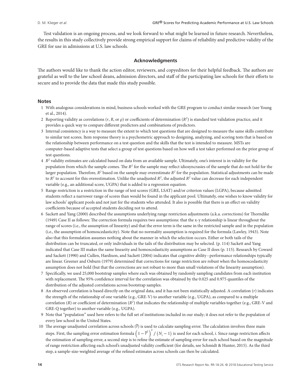Test validation is an ongoing process, and we look forward to what might be learned in future research. Nevertheless, the results in this study collectively provide strong empirical support for claims of reliability and predictive validity of the GRE for use in admissions at U.S. law schools.

## **Acknowledgments**

The authors would like to thank the action editor, reviewers, and copyeditors for their helpful feedback. The authors are grateful as well to the law school deans, admission directors, and staff of the participating law schools for their efforts to secure and to provide the data that made this study possible.

#### **Notes**

- 1 With analogous considerations in mind, business schools worked with the GRE program to conduct similar research (see Young et al., 2014).
- 2 Reporting validity as correlations (*r*, *R*, or ρ) or coefficients of determination (*R<sup>2</sup>*) is standard test validation practice, and it provides a quick way to compare different predictors and combinations of predictors.
- 3 Internal consistency is a way to measure the extent to which test questions that are designed to measure the same skills contribute to similar test scores. Item response theory is a psychometric approach to designing, analyzing, and scoring tests that is based on the relationship between performance on a test question and the skills that the test is intended to measure. MSTs are computer-based adaptive tests that select a group of test questions based on how well a test taker performed on the prior group of test questions.
- 4 *R<sup>2</sup>* validity estimates are calculated based on data from an available sample. Ultimately, one's interest is in validity for the population from which the sample comes. The *R<sup>2</sup>* for the sample may reflect idiosyncrasies of the sample that do not hold for the larger population. Therefore,  $R^2$  based on the sample may overestimate  $R^2$  for the population. Statistical adjustments can be made to  $R^2$  to account for this overestimation. Unlike the unadjusted  $R^2$ , the adjusted  $R^2$  value can decrease for each independent variable (e.g., an additional score, UGPA) that is added to a regression equation.
- 5 Range restriction is a restriction in the range of test scores (GRE, LSAT) and/or criterion values (LGPA), because admitted students reflect a narrower range of scores than would be found in the applicant pool. Ultimately, one wishes to know validity for law schools' applicant pools and not just for the students who attended. It also is possible that there is an effect on validity coefficients because of accepted students deciding not to attend.
- 6 Sackett and Yang (2000) described the assumptions underlying range restriction adjustments (a.k.a. corrections) for Thorndike (1949) Case II as follows: The correction formula requires two assumptions: that the x-y relationship is linear throughout the range of scores (i.e., the assumption of linearity) and that the error term is the same in the restricted sample and in the population (i.e., the assumption of homoscedasticity). Note that no normality assumption is required for the formula (Lawley, 1943). Note also that this formulation assumes nothing about the manner in which the selection occurs. Either or both tails of the distribution can be truncated, or only individuals in the tails of the distribution may be selected. (p. 114) Sackett and Yang indicated that Case III makes the same linearity and homoscedasticity assumptions as Case II does (p. 115). Research by Coward and Sackett (1990) and Cullen, Hardison, and Sackett (2004) indicates that cognitive ability–performance relationships typically are linear. Greener and Osburn (1979) determined that corrections for range restriction are robust when the homoscedasticity assumption does not hold (but that the corrections are not robust to more than small violations of the linearity assumption).
- 7 Specifically, we used 25,000 bootstrap samples where each was obtained by randomly sampling candidates from each institution with replacement. The 95% confidence interval for the correlation was obtained by the 0.025 and 0.975 quantiles of the distribution of the adjusted correlations across bootstrap samples.
- 8 An observed correlation is based directly on the original data, and it has not been statistically adjusted. A correlation (*r*) indicates the strength of the relationship of one variable (e.g., GRE-V) to another variable (e.g., UGPA), as compared to a multiple correlation (*R*) or coefficient of determination ( $R^2$ ) that indicates the relationship of multiple variables together (e.g., GRE-V and GRE-Q together) to another variable (e.g., UGPA).
- 9 Note that "population" used here refers to the full set of institutions included in our study; it does not refer to the population of every law school in the United States.
- 10 The average unadjusted correlation across schools (*r*) is used to calculate sampling error. The calculation involves three main steps. First, the sampling error estimation formula  $\left(1-\overline{r}^2\right)^2/\left(N_i-1\right)$  is used for each school, *i*. Since range restriction affects the estimation of sampling error, a second step is to refine the estimate of sampling error for each school based on the magnitude of range restriction affecting each school's unadjusted validity coefficient (for details, see Schmidt & Hunter, 2015). As the third step, a sample-size-weighted average of the refined estimates across schools can then be calculated.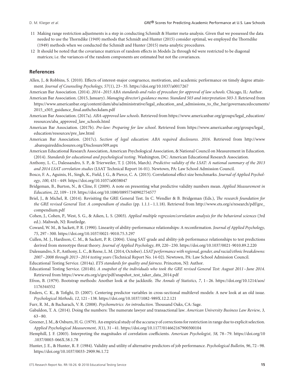- 11 Making range restriction adjustments is a step in conducting Schmidt & Hunter meta-analysis. Given that we possessed the data needed to use the Thorndike (1949) methods that Schmidt and Hunter (2015) consider optimal, we employed the Thorndike (1949) methods when we conducted the Schmidt and Hunter (2015) meta-analytic procedures.
- 12 It should be noted that the covariance matrices of random effects in Models 2a through 6d were restricted to be diagonal matrices; i.e. the variances of the random components are estimated but not the covariances.

#### **References**

- Allen, J., & Robbins, S. (2010). Effects of interest-major congruence, motivation, and academic performance on timely degree attainment. *Journal of Counseling Psychology, 57*(1), 23–35.<https://doi.org/10.1037/a0017267>
- American Bar Association. (2014). *2014–2015 ABA standards and rules of procedure for approval of law schools*. Chicago, IL: Author. American Bar Association. (2015, January). *Managing director's guidance memo. Standard 503 and interpretation 503-3*. Retrieved from
- [https://www.americanbar.org/content/dam/aba/administrative/legal\\_education\\_and\\_admissions\\_to\\_the\\_bar/governancedocuments/](https://www.americanbar.org/content/dam/aba/administrative/legal_education_and_admissions_to_the_bar/governancedocuments/2015_s503_guidance_final.authcheckdam.pdf) [2015\\_s503\\_guidance\\_final.authcheckdam.pdf](https://www.americanbar.org/content/dam/aba/administrative/legal_education_and_admissions_to_the_bar/governancedocuments/2015_s503_guidance_final.authcheckdam.pdf)
- American Bar Association. (2017a). *ABA-approved law schools*. Retrieved from [https://www.americanbar.org/groups/legal\\_education/](https://www.americanbar.org/groups/legal_education/resources/aba_approved_law_schools.html) [resources/aba\\_approved\\_law\\_schools.html](https://www.americanbar.org/groups/legal_education/resources/aba_approved_law_schools.html)
- American Bar Association. (2017b). *Pre-law: Preparing for law school*. Retrieved from [https://www.americanbar.org/groups/legal\\_](https://www.americanbar.org/groups/legal_education/resources/pre_law.html) [education/resources/pre\\_law.html](https://www.americanbar.org/groups/legal_education/resources/pre_law.html)
- American Bar Association. (2017c). *Section of legal education: ABA required disclosures. 2016*. Retrieved from [http://www](http://www.abarequireddisclosures.org/Disclosure509.aspx) [.abarequireddisclosures.org/Disclosure509.aspx](http://www.abarequireddisclosures.org/Disclosure509.aspx)
- American Educational Research Association, American Psychological Association, & National Council on Measurement in Education. (2014). *Standards for educational and psychological testing*. Washington, DC: American Educational Research Association.
- Anthony, L. C., Dalessandro, S. P., & Trierweiler, T. J. (2016, March). *Predictive validity of the LSAT: A national summary of the 2013 and 2014 LSAT correlation studies* (LSAT Technical Report 16-01). Newtown, PA: Law School Admission Council.
- Bosco, F. A., Aguinis, H., Singh, K., Field, J. G., & Pierce, C. A. (2015). Correlational effect size benchmarks. *Journal of Applied Psychology, 100*, 431–449.<https://doi.org/10.1037/a0038047>
- Bridgeman, B., Burton, N., & Cline, F. (2009). A note on presenting what predictive validity numbers mean. *Applied Measurement in Education, 22*, 109–119.<https://doi.org/10.1080/08957340902754577>
- Briel, J., & Michel, R. (2014). Revisiting the GRE General Test. In C. Wendler & B. Bridgeman (Eds.), *The research foundation for the GRE revised General Test: A compendium of studies* (pp. 1.1.1–1.1.18). Retrieved from [http://www.ets.org/s/research/pdf/gre\\_](http://www.ets.org/s/research/pdf/gre_compendium.pdf) [compendium.pdf](http://www.ets.org/s/research/pdf/gre_compendium.pdf)
- Cohen, J., Cohen, P., West, S. G., & Aiken, L. S. (2003). *Applied multiple regression/correlation analysis for the behavioral sciences* (3rd ed.). Mahwah, NJ: Routledge.
- Coward, W. M., & Sackett, P. R. (1990). Linearity of ability-performance relationships: A reconfirmation. *Journal of Applied Psychology, 75*, 297–300.<https://doi.org/10.1037/0021-9010.75.3.297>
- Cullen, M. J., Hardison, C. M., & Sackett, P. R. (2004). Using SAT-grade and ability-job performance relationships to test predictions derived from stereotype threat theory. *Journal of Applied Psychology, 89*, 220–230.<https://doi.org/10.1037/0021-9010.89.2.220>
- Dalessandro, S. P., Anthony, L. C., & Reese, L. M. (2014, October). *LSAT performance with regional, gender, and racial/ethnic breakdowns: 2007–2008 through 2013–2014 testing years* (Technical Report No. 14-02). Newtown, PA: Law School Admission Council.

Educational Testing Service. (2014a). *ETS standards for quality and fairness*. Princeton, NJ: Author.

- Educational Testing Service. (2014b). *A snapshot of the individuals who took the GRE revised General Test: August 2011– June 2014*. Retrieved from [https://www.ets.org/s/gre/pdf/snapshot\\_test\\_taker\\_data\\_2014.pdf](https://www.ets.org/s/gre/pdf/snapshot_test_taker_data_2014.pdf)
- Efron, B. (1979). Bootstrap methods: Another look at the jackknife. *The Annals of Statistics, 7*, 1–26. [https://doi.org/10.1214/aos/](https://doi.org/10.1214/aos/1176344552) [1176344552](https://doi.org/10.1214/aos/1176344552)
- Enders, C. K., & Tofighi, D. (2007). Centering predictor variables in cross-sectional multilevel models: A new look at an old issue. *Psychological Methods, 12*, 121–138.<https://doi.org/10.1037/1082-989X.12.2.121>
- Furr, R. M., & Bacharach, V. R. (2008). *Psychometrics: An introduction*. Thousand Oaks, CA: Sage.
- Gabaldon, T. A. (2014). Doing the numbers: The numerate lawyer and transactional law. *American University Business Law Review, 3,* 63–80.
- Greener, J. M., & Osburn, H. G. (1979). An empirical study of the accuracy of corrections for restriction in range due to explicit selection. *Applied Psychological Measurement, 3*(1), 31–41.<https://doi.org/10.1177/014662167900300104>
- Hemphill, J. F. (2003). Interpreting the magnitudes of correlation coefficients. *American Psychologist, 58,* 78–79. [https://doi.org/10](https://doi.org/10.1037/0003-066X.58.1.78) [.1037/0003-066X.58.1.78](https://doi.org/10.1037/0003-066X.58.1.78)
- Hunter, J. E., & Hunter, R. F. (1984). Validity and utility of alternative predictors of job performance. *Psychological Bulletin, 96*, 72–98. <https://doi.org/10.1037/0033-2909.96.1.72>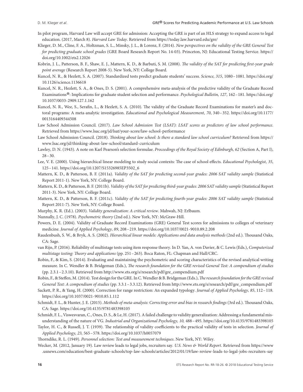- In pilot program, Harvard Law will accept GRE for admission: Accepting the GRE is part of an HLS strategy to expand access to legal education. (2017, March 8). *Harvard Law Today*. Retrieved from<https://today.law.harvard.edu/gre/>
- Klieger, D. M., Cline, F. A., Holtzman, S. L., Minsky, J. L., & Lorenz, F. (2014). *New perspectives on the validity of the GRE General Test for predicting graduate school grades* (GRE Board Research Report No. 14-03). Princeton, NJ: Educational Testing Service. [https://](https://doi.org/10.1002/ets2.12026) [doi.org/10.1002/ets2.12026](https://doi.org/10.1002/ets2.12026)
- Kobrin, J. L., Patterson, B. F., Shaw, E. J., Mattern, K. D., & Barbuti, S. M. (2008). *The validity of the SAT for predicting first-year grade point average* (Research Report 2008-5). New York, NY: College Board.
- Kuncel, N. R., & Hezlett, S. A. (2007). Standardized tests predict graduate students' success. *Science, 315*, 1080–1081. [https://doi.org/](https://doi.org/10.1126/science.1136618) [10.1126/science.1136618](https://doi.org/10.1126/science.1136618)
- Kuncel, N. R., Hezlett, S. A., & Ones, D. S. (2001). A comprehensive meta-analysis of the predictive validity of the Graduate Record Examinations®: Implications for graduate student selection and performance. *Psychological Bulletin, 127,* <sup>162</sup>*–*181. [https://doi.org/](https://doi.org/10.1037/0033-2909.127.1.162) [10.1037/0033-2909.127.1.162](https://doi.org/10.1037/0033-2909.127.1.162)
- Kuncel, N. R., Wee, S., Serafin, L., & Hezlett, S. A. (2010). The validity of the Graduate Record Examinations for master's and doctoral programs: A meta-analytic investigation. *Educational and Psychological Measurement, 70*, 340–352. [https://doi.org/10.1177/](https://doi.org/10.1177/0013164409344508) [0013164409344508](https://doi.org/10.1177/0013164409344508)
- Law School Admission Council. (2017). *Law School Admission Test (LSAT): LSAT scores as predictors of law school performance*. Retrieved from<https://www.lsac.org/jd/lsat/your-score/law-school-performance>
- Law School Admission Council. (2018). *Thinking about law school: Is there a standard law school curriculum?* Retrieved from [https://](https://www.lsac.org/jd/thinking-about-law-school/standard-curriculum) [www.lsac.org/jd/thinking-about-law-school/standard-curriculum](https://www.lsac.org/jd/thinking-about-law-school/standard-curriculum)
- Lawley, D. N. (1943). A note on Karl Pearson's selection formulae. *Proceedings of the Royal Society of Edinburgh, 62* (Section A, Part I), 28–30.
- Lee, V. E. (2000). Using hierarchical linear modeling to study social contexts: The case of school effects. *Educational Psychologist, 35*, 125–141. [https://doi.org/10.1207/S15326985EP3502\\_6](https://doi.org/10.1207/S15326985EP3502_6)
- Mattern, K. D., & Patterson, B. F. (2011a). *Validity of the SAT for predicting second-year grades: 2006 SAT validity sample* (Statistical Report 2011-1). New York, NY: College Board.
- Mattern, K. D., & Patterson, B. F. (2011b). *Validity of the SAT for predicting third-year grades: 2006 SAT validity sample* (Statistical Report 2011-3). New York, NY: College Board.
- Mattern, K. D., & Patterson, B. F. (2011c). *Validity of the SAT for predicting fourth-year grades: 2006 SAT validity sample* (Statistical Report 2011-7). New York, NY: College Board.
- Murphy, K. R. (Ed.). (2003). *Validity generalization: A critical review*. Mahwah, NJ: Erlbaum.
- Nunnally, J. C. (1978). *Psychometric theory* (2nd ed.). New York, NY: McGraw-Hill.
- Powers, D. E. (2004). Validity of Graduate Record Examinations (GRE) General Test scores for admissions to colleges of veterinary medicine. *Journal of Applied Psychology, 89*, 208*–*219.<https://doi.org/10.1037/0021-9010.89.2.208>
- Raudenbush, S. W., & Bryk, A. S. (2002). *Hierarchical linear models: Applications and data analysis methods* (2nd ed.). Thousand Oaks, CA: Sage.
- van Rijn, P. (2016). Reliability of multistage tests using item response theory. In D. Yan, A. von Davier, & C. Lewis (Eds.), *Computerized multistage testing: Theory and applications* (pp. 251–263). Boca Raton, FL: Chapman and Hall/CRC.
- Robin, F., & Kim, S. (2014). Evaluating and maintaining the psychometric and scoring characteristics of the revised analytical writing measure. In C. Wendler & B. Bridgeman (Eds.), *The research foundation for the GRE revised General Test: A compendium of studies* (pp. 2.3.1–2.3.10). Retrieved from [http://www.ets.org/s/research/pdf/gre\\_compendium.pdf](http://www.ets.org/s/research/pdf/gre_compendium.pdf)
- Robin, F., & Steffen, M. (2014). Test design for the GRE. In C.Wendler & B. Bridgeman (Eds.),*The research foundation for the GRE revised General Test: A compendium of studies* (pp. 3.3.1–3.3.12). Retrieved from [http://www.ets.org/s/research/pdf/gre\\_compendium.pdf](http://www.ets.org/s/research/pdf/gre_compendium.pdf)
- Sackett, P. R., & Yang, H. (2000). Correction for range restriction: An expanded typology. *Journal of Applied Psychology, 85*, 112–118. <https://doi.org/10.1037/0021-9010.85.1.112>
- Schmidt, F. L., & Hunter, J. E. (2015). *Methods of meta-analysis: Correcting error and bias in research findings* (3rd ed.). Thousand Oaks, CA: Sage.<https://doi.org/10.4135/9781483398105>
- Schmidt, F. L., Viswesvaran, C., Ones, D. S., & Le, H. (2017). A failed challenge to validity generalization: Addressing a fundamental misunderstanding of the nature of VG. *Industrial and Organizational Psychology, 10,* 488–495.<https://doi.org/10.4135/9781483398105>
- Taylor, H. C., & Russell, J. T. (1939). The relationship of validity coefficients to the practical validity of tests in selection. *Journal of Applied Psychology, 23,* 565–578.<https://doi.org/10.1037/h0057079>

Thorndike, R. L. (1949). *Personnel selection: Test and measurement techniques*. New York, NY: Wiley.

Wecker, M. (2012, January 19). Law review leads to legal jobs, recruiters say*. U.S. News & World Report*. Retrieved from [https://www](https://www.usnews.com/education/best-graduate-schools/top-law-schools/articles/2012/01/19/law-review-leads-to-legal-jobs-recruiters-say) [.usnews.com/education/best-graduate-schools/top-law-schools/articles/2012/01/19/law-review-leads-to-legal-jobs-recruiters-say](https://www.usnews.com/education/best-graduate-schools/top-law-schools/articles/2012/01/19/law-review-leads-to-legal-jobs-recruiters-say)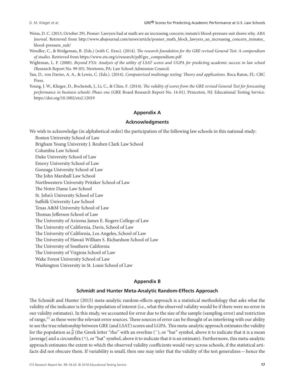- Weiss, D. C. (2013, October 29). Posner: Lawyers bad at math are an increasing concern; inmate's blood-pressure suit shows why. *ABA Journal*. Retrieved from [http://www.abajournal.com/news/article/posner\\_math\\_block\\_lawyers\\_an\\_increasing\\_concern\\_inmates\\_](http://www.abajournal.com/news/article/posner_math_block_lawyers_an_increasing_concern_inmates_blood-pressure_suit/) [blood-pressure\\_suit/](http://www.abajournal.com/news/article/posner_math_block_lawyers_an_increasing_concern_inmates_blood-pressure_suit/)
- Wendler, C., & Bridgeman, B. (Eds.) (with C. Ezzo). (2014). *The research foundation for the GRE revised General Test: A compendium of studies*. Retrieved from [https://www.ets.org/s/research/pdf/gre\\_compendium.pdf](https://www.ets.org/s/research/pdf/gre_compendium.pdf)
- Wightman, L. F. (2000). *Beyond FYA: Analysis of the utility of LSAT scores and UGPA for predicting academic success in law school* (Research Report No. 99-05). Newtown, PA: Law School Admission Council.
- Yan, D., von Davier, A. A., & Lewis, C. (Eds.). (2014). *Computerized multistage testing: Theory and applications*. Boca Raton, FL: CRC Press.
- Young, J. W., Klieger, D., Bochenek, J., Li, C., & Cline, F. (2014). *The validity of scores from the GRE revised General Test for forecasting performance in business schools: Phase one* (GRE Board Research Report No. 14-01). Princeton, NJ: Educational Testing Service. <https://doi.org/10.1002/ets2.12019>

# **Appendix A**

# **Acknowledgments**

We wish to acknowledge (in alphabetical order) the participation of the following law schools in this national study: Boston University School of Law

Brigham Young University J. Reuben Clark Law School

Columbia Law School

Duke University School of Law

Emory University School of Law

Gonzaga University School of Law

The John Marshall Law School

Northwestern University Pritzker School of Law The Notre Dame Law School

St. John's University School of Law

Suffolk University Law School

Texas A&M University School of Law

Thomas Jefferson School of Law

The University of Arizona James E. Rogers College of Law

The University of California, Davis, School of Law

The University of California, Los Angeles, School of Law

The University of Hawaii William S. Richardson School of Law

The University of Southern California

The University of Virginia School of Law

Wake Forest University School of Law

Washington University in St. Louis School of Law

# **Appendix B**

# **Schmidt and Hunter Meta-Analytic Random-Effects Approach**

The Schmidt and Hunter (2015) meta-analytic random-effects approach is a statistical methodology that asks what the validity of the indicator is for the population of interest (i.e., what the observed validity would be if there were no error in our validity estimates). In this study, we accounted for error due to the size of the sample (sampling error) and restriction of range,<sup>11</sup> as these were the relevant error sources. These sources of error can be thought of as interfering with our ability to see the true relationship between GRE (and LSAT) scores and LGPA.This meta-analytic approach estimates the validity for the population as  $\hat{\overline{\rho}}$  (the Greek letter "rho" with an overline (<sup>−</sup>), or "bar" symbol, above it to indicate that it is a mean [average] and a circumflex (^), or "hat" symbol, above it to indicate that it is an estimate). Furthermore, this meta-analytic approach estimates the extent to which the observed validity coefficients would vary across schools, if the statistical artifacts did not obscure them. If variability is small, then one may infer that the validity of the test generalizes—hence the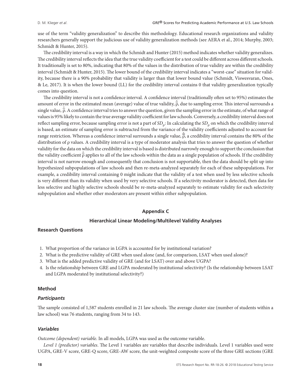use of the term "validity generalization" to describe this methodology. Educational research organizations and validity researchers generally support the judicious use of validity generalization methods (see AERA et al., 2014; Murphy, 2003; Schmidt & Hunter, 2015).

The credibility interval is a way in which the Schmidt and Hunter (2015) method indicates whether validity generalizes. The credibility interval reflects the idea that the true validity coefficient for a test could be different across different schools. It traditionally is set to 80%, indicating that 80% of the values in the distribution of true validity are within the credibility interval (Schmidt & Hunter, 2015). The lower bound of the credibility interval indicates a "worst-case" situation for validity, because there is a 90% probability that validity is larger than that lower bound value (Schmidt, Viswesvaran, Ones, & Le, 2017). It is when the lower bound (LL) for the credibility interval contains 0 that validity generalization typically comes into question.

The credibility interval is not a confidence interval. A confidence interval (traditionally often set to 95%) estimates the amount of error in the estimated mean (average) value of true validity, *̂* ρ, due to sampling error. This interval surrounds a single value, *̂* ρ. A confidence interval tries to answer the question, given the sampling error in the estimate, of what range of values is 95% likely to contain the true average validity coefficient for law schools. Conversely, a credibility interval does not reflect sampling error, because sampling error is not a part of *SD*ρ: In calculating the *SD*<sup>ρ</sup> on which the credibility interval is based, an estimate of sampling error is subtracted from the variance of the validity coefficients adjusted to account for range restriction. Whereas a confidence interval surrounds a single value, *̂* ρ, a credibility interval contains the 80% of the distribution of ρ values. A credibility interval is a type of moderator analysis that tries to answer the question of whether validity for the data on which the credibility interval is based is distributed narrowly enough to support the conclusion that the validity coefficient  $\hat{\bar{\rho}}$  applies to all of the law schools within the data as a single population of schools. If the credibility interval is not narrow enough and consequently that conclusion is not supportable, then the data should be split up into hypothesized subpopulations of law schools and then re-meta-analyzed separately for each of these subpopulations. For example, a credibility interval containing 0 might indicate that the validity of a test when used by less selective schools is very different than its validity when used by very selective schools. If a selectivity moderator is detected, then data for less selective and highly selective schools should be re-meta-analyzed separately to estimate validity for each selectivity subpopulation and whether other moderators are present within either subpopulation.

#### **Appendix C**

# **Hierarchical Linear Modeling/Multilevel Validity Analyses**

#### **Research Questions**

- 1. What proportion of the variance in LGPA is accounted for by institutional variation?
- 2. What is the predictive validity of GRE when used alone (and, for comparison, LSAT when used alone)?
- 3. What is the added predictive validity of GRE (and for LSAT) over and above UGPA?
- 4. Is the relationship between GRE and LGPA moderated by institutional selectivity? (Is the relationship between LSAT and LGPA moderated by institutional selectivity?)

# **Method**

#### *Participants*

The sample consisted of 1,587 students enrolled in 21 law schools. The average cluster size (number of students within a law school) was 76 students, ranging from 34 to 143.

# *Variables*

*Outcome (dependent) variable*. In all models, LGPA was used as the outcome variable.

*Level 1 (predictor) variables*. The Level 1 variables are variables that describe individuals. Level 1 variables used were UGPA, GRE-V score, GRE-Q score, GRE-AW score, the unit-weighted composite score of the three GRE sections (GRE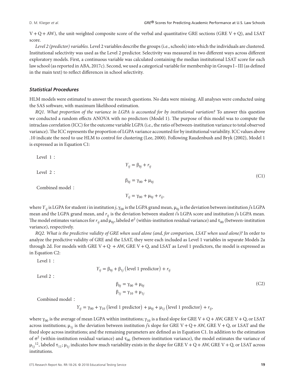$V + Q + AW$ ), the unit-weighted composite score of the verbal and quantitative GRE sections (GRE  $V + Q$ ), and LSAT score.

*Level 2 (predictor) variables*. Level 2 variables describe the groups (i.e., schools) into which the individuals are clustered. Institutional selectivity was used as the Level 2 predictor. Selectivity was measured in two different ways across different exploratory models. First, a continuous variable was calculated containing the median institutional LSAT score for each law school (as reported in ABA, 2017c). Second, we used a categorical variable for membership in Groups I– III (as defined in the main text) to reflect differences in school selectivity.

# *Statistical Procedures*

HLM models were estimated to answer the research questions. No data were missing. All analyses were conducted using the SAS software, with maximum likelihood estimation.

*RQ1. What proportion of the variance in LGPA is accounted for by institutional variation?* To answer this question we conducted a random effects ANOVA with no predictors (Model 1). The purpose of this model was to compute the intraclass correlation (ICC) for the outcome variable LGPA (i.e., the ratio of between-institution variance to total observed variance).The ICC represents the proportion of LGPA variance accounted for by institutional variability. ICC values above .10 indicate the need to use HLM to control for clustering (Lee, 2000). Following Raudenbush and Bryk (2002), Model 1 is expressed as in Equation C1:

Level 1 ∶

Level 2 ∶

*Y<sub>ij</sub>* =  $β_{0j} + r_{ij}$  $β_{0j} = γ_{00} + μ_{0j}$ Combined model ∶  $Y_{ij} = \gamma_{00} + \mu_{0j} + r_{ij}$ (C1)

where  $Y_{ij}$  is LGPA for student *i* in institution *j*,  $\gamma_{00}$  is the LGPA grand mean,  $\mu_{0j}$  is the deviation between institution *j*'s LGPA mean and the LGPA grand mean, and *rij* is the deviation between student *i*'s LGPA score and institution *j*'s LGPA mean. The model estimates variances for  $r_{ij}$  and  $\mu_{0j}$ , labeled  $\sigma^2$  (within-institution residual variance) and  $\tau_{00}$  (between-institution variance), respectively.

*RQ2. What is the predictive validity of GRE when used alone (and, for comparison, LSAT when used alone)?* In order to analyze the predictive validity of GRE and the LSAT, they were each included as Level 1 variables in separate Models 2a through 2d. For models with GRE V + Q + AW, GRE V + Q, and LSAT as Level 1 predictors, the model is expressed as in Equation C2:

Level 1 ∶

Level 2 ∶

$$
\beta_{0j} = \gamma_{00} + \mu_{0j} \n\beta_{1j} = \gamma_{10} + \mu_{1j}
$$
\n(C2)

Combined model ∶

$$
Y_{ij} = \gamma_{00} + \gamma_{10} \text{ (level 1 predictor)} + \mu_{0j} + \mu_{1j} \text{ (level 1 predictor)} + r_{ij},
$$

 $Y_{ij} = \beta_{0j} + \beta_{1j}$  (level 1 predictor) +  $r_{ij}$ 

where γ<sub>00</sub> is the average of mean LGPA within institutions; γ<sub>10</sub> is a fixed slope for GRE V + Q + AW, GRE V + Q, or LSAT across institutions; μ<sub>1*i*</sub> is the deviation between institution *j*'s slope for GRE V + Q + AW, GRE V + Q, or LSAT and the fixed slope across institutions; and the remaining parameters are defined as in Equation C1. In addition to the estimation of  $\sigma^2$  (within-institution residual variance) and τ<sub>00</sub> (between-institution variance), the model estimates the variance of  $\mu_{1j}$ <sup>12</sup>, labeled  $\tau_{11}$ ;  $\mu_{1j}$  indicates how much variability exists in the slope for GRE V + Q + AW, GRE V + Q, or LSAT across institutions.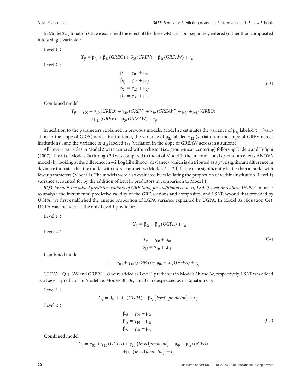In Model 2c (Equation C3, we examined the effect of the three GRE sections separately entered (rather than composited into a single variable):

Level 1 ∶

$$
Y_{ij} = \beta_{0j} + \beta_{1j} (GREQ) + \beta_{2j} (GREV) + \beta_{3j} (GREAW) + r_{ij}
$$

Level 2 ∶

$$
\beta_{0j} = \gamma_{00} + \mu_{0j} \n\beta_{1j} = \gamma_{10} + \mu_{1j} \n\beta_{2j} = \gamma_{20} + \mu_{2j} \n\beta_{3j} = \gamma_{30} + \mu_{3j}
$$
\n(C3)

Combined model ∶

$$
Y_{ij} = \gamma_{00} + \gamma_{10} (GREQ) + \gamma_{20} (GREV) + \gamma_{30} (GREAW) + \mu_{0j} + \mu_{1j} (GREQ) + \mu_{2j} (GREV) + \mu_{3j} (GREAW) + r_{ij}.
$$

In addition to the parameters explained in previous models, Model 2c estimates the variance of  $\mu_{1i}$  labeled  $\tau_{11}$  (variation in the slope of GREQ across institutions), the variance of  $\mu_{2j}$  labeled  $\tau_{22}$  (variation in the slope of GREV across institutions), and the variance of  $\mu_{3j}$  labeled  $\tau_{33}$  (variation in the slope of GREAW across institutions).

All Level 1 variables in Model 2 were centered within cluster (i.e., group-mean centering) following Enders and Tofighi (2007). The fit of Models 2a through 2d was compared to the fit of Model 1 (the unconditional or random effects ANOVA model) by looking at the difference in  $-2$  Log Likelihood (deviance), which is distributed as a  $\chi^2$ ; a significant difference in deviance indicates that the model with more parameters (Models 2a–2d) fit the data significantly better than a model with fewer parameters (Model 1). The models were also evaluated by calculating the proportion of within-institution (Level 1) variance accounted for by the addition of Level 1 predictors in comparison to Model 1.

*RQ3. What is the added predictive validity of GRE (and, for additional context, LSAT), over and above UGPA?* In order to analyze the incremental predictive validity of the GRE sections and composites, and LSAT beyond that provided by UGPA, we first established the unique proportion of LGPA variance explained by UGPA. In Model 3a (Equation C4), UGPA was included as the only Level 1 predictor:

*Y<sub>ij</sub>* =  $β_{0j} + β_{1j} (UGPA) + r_{ij}$ 

Level 1 ∶

Level 2 ∶

$$
\beta_{0j} = \gamma_{00} + \mu_{0j} \tag{C4}
$$
  

$$
\beta_{1j} = \gamma_{10} + \mu_{1j}
$$

Combined model ∶

$$
Y_{ij} = \gamma_{00} + \gamma_{10} (UGPA) + \mu_{0j} + \mu_{1j} (UGPA) + r_{ij}.
$$

GRE V + Q +AW and GRE V + Q were added as Level 1 predictors in Models 3b and 3c, respectively. LSAT was added as a Level 1 predictor in Model 3e. Models 3b, 3c, and 3e are expressed as in Equation C5:

Level 1 ∶

*Y*<sub>*ij*</sub> = β<sub>0*j*</sub> + β<sub>1*j*</sub> (*UGPA*) + β<sub>2*j*</sub> (*level*1 *predictor*) + *r*<sub>*ij*</sub>

Level 2 ∶

$$
\beta_{0j} = \gamma_{00} + \mu_{0j} \n\beta_{1j} = \gamma_{10} + \mu_{1j} \n\beta_{2j} = \gamma_{20} + \mu_{2j}
$$
\n(C5)

Combined model ∶

$$
Y_{ij} = \gamma_{00} + \gamma_{10} (UGPA) + \gamma_{20} (level1 predictor) + \mu_{0j} + \mu_{1j} (UGPA)
$$
  
+
$$
+\mu_{2j} (level1 predictor) + r_{ij}.
$$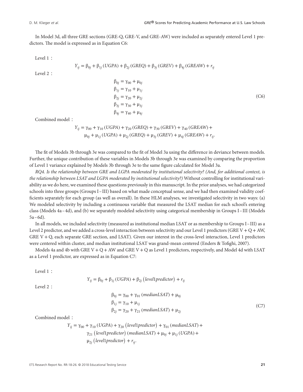In Model 3d, all three GRE sections (GRE-Q, GRE-V, and GRE-AW) were included as separately entered Level 1 predictors. The model is expressed as in Equation C6:

Level 1 ∶

Level 2 ∶

$$
Y_{ij} = \beta_{0j} + \beta_{1j}(UGPA) + \beta_{2j}(GREQ) + \beta_{3j}(GREV) + \beta_{4j}(GREAW) + r_{ij}
$$

 $β_{0j} = γ_{00} + μ_{0j}$  $β_{1j} = γ_{10} + μ_{1j}$  $β_{2j} = γ_{20} + μ_{2j}$  $β_{3j} = γ_{30} + μ_{3j}$  $β_{4j} = γ_{40} + μ_{4j}$ (C6)

Combined model ∶

$$
Y_{ij} = \gamma_{00} + \gamma_{10} (UGPA) + \gamma_{20} (GREQ) + \gamma_{30} (GREV) + \gamma_{40} (GREAW) +
$$
  

$$
\mu_{0j} + \mu_{1j} (UGPA) + \mu_{2j} (GREQ) + \mu_{3j} (GREV) + \mu_{4j} (GREAW) + r_{ij}.
$$

The fit of Models 3b through 3e was compared to the fit of Model 3a using the difference in deviance between models. Further, the unique contribution of these variables in Models 3b through 3e was examined by comparing the proportion of Level 1 variance explained by Models 3b through 3e to the same figure calculated for Model 3a.

*RQ4. Is the relationship between GRE and LGPA moderated by institutional selectivity? (And, for additional context, is the relationship between LSAT and LGPA moderated by institutional selectivity?)* Without controlling for institutional variability as we do here, we examined these questions previously in this manuscript. In the prior analyses, we had categorized schools into three groups (Groups I–III) based on what made conceptual sense, and we had then examined validity coefficients separately for each group (as well as overall). In these HLM analyses, we investigated selectivity in two ways: (a) We modeled selectivity by including a continuous variable that measured the LSAT median for each school's entering class (Models 4a–4d), and (b) we separately modeled selectivity using categorical membership in Groups I– III (Models 5a–6d).

In all models, we included selectivity (measured as institutional median LSAT or as membership to Groups I– III) as a Level 2 predictor, and we added a cross-level interaction between selectivity and our Level 1 predictors (GRE V + Q + AW, GRE V + Q, each separate GRE section, and LSAT). Given our interest in the cross-level interaction, Level 1 predictors were centered within cluster, and median institutional LSAT was grand-mean centered (Enders & Tofighi, 2007).

Models 4a and 4b with GRE V + Q +AW and GRE V + Q as Level 1 predictors, respectively, and Model 4d with LSAT as a Level 1 predictor, are expressed as in Equation C7:

Level 1 ∶

$$
Y_{ij} = \beta_{0j} + \beta_{1j} (UGPA) + \beta_{2j} (level1 predictor) + r_{ij}
$$

Level 2 ∶

$$
\beta_{0j} = \gamma_{00} + \gamma_{01} (medianLSAT) + \mu_{0j}
$$
  
\n
$$
\beta_{1j} = \gamma_{10} + \mu_{1j}
$$
  
\n
$$
\beta_{2j} = \gamma_{20} + \gamma_{21} (medianLSAT) + \mu_{2j}
$$
 (C7)

Combined model ∶

$$
Y_{ij} = \gamma_{00} + \gamma_{10} (UGPA) + \gamma_{20} (level1 predictor) + \gamma_{01} (medianLSAT) +
$$
  
\n
$$
\gamma_{21} (level1 predictor) (medianLSAT) + \mu_{0j} + \mu_{1j} (UGPA) +
$$
  
\n
$$
\mu_{2j} (level1 predictor) + r_{ij}.
$$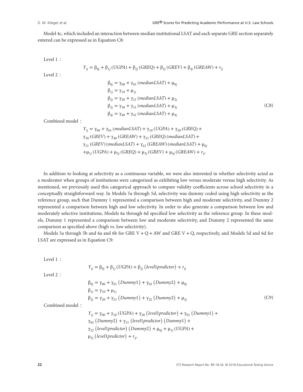Model 4c, which included an interaction between median institutional LSAT and each separate GRE section separately entered can be expressed as in Equation C8:

Level 1 ∶

$$
Y_{ij} = \beta_{0j} + \beta_{1j} (UGPA) + \beta_{2j} (GREQ) + \beta_{3j} (GREV) + \beta_{4j} (GREAW) + r_{ij}
$$

Level 2 ∶

$$
\beta_{0j} = \gamma_{00} + \gamma_{01} (medianLSAT) + \mu_{0j}
$$
  
\n
$$
\beta_{1j} = \gamma_{10} + \mu_{1j}
$$
  
\n
$$
\beta_{2j} = \gamma_{20} + \gamma_{21} (medianLSAT) + \mu_{2j}
$$
  
\n
$$
\beta_{3j} = \gamma_{30} + \gamma_{31} (medianLSAT) + \mu_{3j}
$$
  
\n
$$
\beta_{4j} = \gamma_{40} + \gamma_{41} (medianLSAT) + \mu_{4j}
$$
\n(C8)

Combined model ∶

$$
Y_{ij} = \gamma_{00} + \gamma_{01} \ (medianLSAT) + \gamma_{10} \ (UGPA) + \gamma_{20} \ (GREQ) +
$$
  
\n
$$
\gamma_{30} \ (GREV) + \gamma_{40} \ (GREAW) + \gamma_{21} \ (GREQ) \ (medianLSAT) +
$$
  
\n
$$
\gamma_{31} \ (GREV) \ (medianLSAT) + \gamma_{41} \ (GREAW) \ (medianLSAT) + \mu_{0j}
$$
  
\n
$$
+\mu_{1j} \ (UGPA) + \mu_{2j} \ (GREQ) + \mu_{3j} \ (GREV) + \mu_{4j} \ (GREAW) + r_{ij}.
$$

In addition to looking at selectivity as a continuous variable, we were also interested in whether selectivity acted as a moderator when groups of institutions were categorized as exhibiting low versus moderate versus high selectivity. As mentioned, we previously used this categorical approach to compare validity coefficients across school selectivity in a conceptually straightforward way. In Models 5a through 5d, selectivity was dummy coded using high selectivity as the reference group, such that Dummy 1 represented a comparison between high and moderate selectivity, and Dummy 2 represented a comparison between high and low selectivity. In order to also generate a comparison between low and moderately selective institutions, Models 6a through 6d specified low selectivity as the reference group. In these models, Dummy 1 represented a comparison between low and moderate selectivity, and Dummy 2 represented the same comparison as specified above (high vs. low selectivity).

Models 5a through 5b and 6a and 6b for GRE  $V + Q + AW$  and GRE  $V + Q$ , respectively, and Models 5d and 6d for LSAT are expressed as in Equation C9:

Level 1 ∶

$$
Y_{ij} = \beta_{0j} + \beta_{1j} (UGPA) + \beta_{2j} (level1 predictor) + r_{ij}
$$

Level 2 ∶

$$
\beta_{0j} = \gamma_{00} + \gamma_{01} (Dummy1) + \gamma_{02} (Dummy2) + \mu_{0j} \n\beta_{1j} = \gamma_{10} + \mu_{1j} \n\beta_{2j} = \gamma_{20} + \gamma_{21} (Dummy1) + \gamma_{22} (Dummy2) + \mu_{2j}
$$
\n(C9)

Combined model ∶

$$
Y_{ij} = \gamma_{00} + \gamma_{10} (UGPA) + \gamma_{20} (level1 predictor) + \gamma_{01} (Dummy1) +
$$
  
\n
$$
\gamma_{02} (Dummy2) + \gamma_{21} (level1 predictor) (Dummy1) +
$$
  
\n
$$
\gamma_{22} (level1 predictor) (Dummy2) + \mu_{0j} + \mu_{1j} (UGPA) +
$$
  
\n
$$
\mu_{2j} (level1 predictor) + r_{ij}.
$$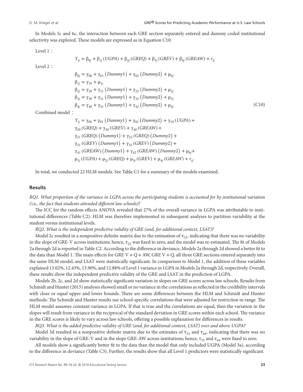In Models 5c and 6c, the interaction between each GRE section separately entered and dummy coded institutional selectivity was explored. These models are expressed as in Equation C10:

Level 1 ∶

$$
Y_{ij} = \beta_{0j} + \beta_{1j} (UGPA) + \beta_{2j} (GREQ) + \beta_{3j} (GREV) + \beta_{4j} (GREAW) + r_{ij}
$$

Level 2 ∶

$$
\beta_{0j} = \gamma_{00} + \gamma_{01} (Dummy1) + \gamma_{02} (Dummy2) + \mu_{0j} \n\beta_{1j} = \gamma_{10} + \mu_{1j} \n\beta_{2j} = \gamma_{20} + \gamma_{21} (Dummy1) + \gamma_{22} (Dummy2) + \mu_{2j} \n\beta_{3j} = \gamma_{30} + \gamma_{31} (Dummy1) + \gamma_{32} (Dummy2) + \mu_{3j} \n\beta_{4j} = \gamma_{40} + \gamma_{41} (Dummy1) + \gamma_{42} (Dummy2) + \mu_{4j}
$$
\n(C10)

Combined model ∶

*Y<sub>ij</sub>* = γ<sub>00</sub> + γ<sub>01</sub> (*Dummy*1) + γ<sub>02</sub> (*Dummy*2) + γ<sub>10</sub> (*UGPA*) +  $γ_{20}$  (*GREQ*) +  $γ_{30}$  (*GREV*) +  $γ_{40}$  (*GREAW*) + γ<sup>21</sup> (*GREQ*) ( *Dummy*1 ) + γ<sup>22</sup> (*GREQ*) ( *Dummy*2 ) + γ<sup>31</sup> (*GREV*) ( *Dummy*1 ) + γ<sup>32</sup> (*GREV*) ( *Dummy*2 ) + γ<sup>41</sup> (*GREAW*) ( *Dummy*1 ) + γ<sup>42</sup> (*GREAW*) ( *Dummy*2 ) + μ0*<sup>j</sup>* +  $\mu_{1i}$  (*UGPA*) +  $\mu_{2i}$  (*GREQ*) +  $\mu_{3i}$  (*GREV*) +  $\mu_{4i}$  (*GREAW*) +  $r_{ii}$ .

In total, we conducted 22 HLM models. See Table C1 for a summary of the models examined.

#### **Results**

*RQ1. What proportion of the variance in LGPA across the participating students is accounted for by institutional variation (*i.e.*, the fact that students attended different law schools)?*

The ICC for the random effects ANOVA revealed that 27% of the overall variance in LGPA was attributable to institutional differences (Table C2). HLM was therefore implemented in subsequent analyses to partition variability at the student versus institutional levels.

*RQ2. What is the independent predictive validity of GRE (and, for additional context, LSAT)?*

Model 2c resulted in a nonpositive definite matrix due to the estimation of  $\tau_{22}$ , indicating that there was no variability in the slope of GRE-V across institutions; hence,  $\tau_{22}$  was fixed to zero, and the model was re-estimated. The fit of Models 2a through 2d is reported in Table C2. According to the difference in deviance, Models 2a through 2d showed a better fit to the data than Model 1. The main effects for GRE  $V + Q + AW$ , GRE  $V + Q$ , all three GRE sections entered separately into the same HLM model, and LSAT were statistically significant. In comparison to Model 1, the addition of these variables explained 13.02%, 12.43%, 13.90%, and 12.88% of Level 1 variance in LGPA in Models 2a through 2d, respectively. Overall, these results show the independent predictive validity of the GRE and LSAT in the prediction of LGPA.

Models 2b, 2c, and 2d show statistically significant variation in slopes on GRE scores across law schools. Results from Schmidt and Hunter (2015) analyses showed small or no variance in the correlations as reflected in the credibility intervals with close or equal upper and lower bounds. There are some differences between the HLM and Schmidt and Hunter methods: The Schmidt and Hunter results use school-specific correlations that were adjusted for restriction in range. The HLM model assumes constant variance in LGPA. If that is true and the correlations are equal, then the variation in the slopes will result from variance in the reciprocal of the standard deviation in GRE scores within each school. The variance in the GRE scores is likely to vary across law schools, offering a possible explanation for differences in results.

*RQ3. What is the added predictive validity of GRE (and, for additional context, LSAT) over and above UGPA?*

Model 3d resulted in a nonpositive definite matrix due to the estimates of  $\tau_{33}$  and  $\tau_{44}$ , indicating that there was no variability in the slope of GRE-V and in the slope GRE-AW across institutions; hence,  $\tau_{33}$  and  $\tau_{44}$  were fixed to zero.

All models show a significantly better fit to the data than the model that only included UGPA (Model 3a), according to the difference in deviance (Table C3). Further, the results show that all Level 1 predictors were statistically significant.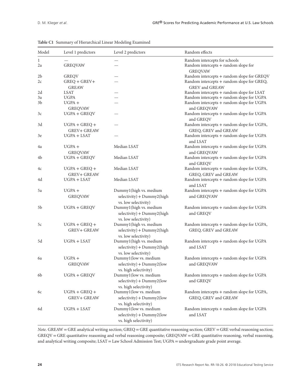| Model   | Level 1 predictors                    | Level 2 predictors                                                              | Random effects                                                                          |
|---------|---------------------------------------|---------------------------------------------------------------------------------|-----------------------------------------------------------------------------------------|
| 1<br>2a | <b>GREQVAW</b>                        |                                                                                 | Random intercepts for schools<br>Random intercepts + random slope for<br><b>GREQVAW</b> |
| 2b      | <b>GREQV</b>                          |                                                                                 | Random intercepts + random slope for GREQV                                              |
| 2c      | $GREQ + GREV+$<br><b>GREAW</b>        |                                                                                 | Random intercepts + random slope for GREQ,<br><b>GREV</b> and <b>GREAW</b>              |
| 2d      | LSAT                                  |                                                                                 | Random intercepts + random slope for LSAT                                               |
| 3a      | <b>UGPA</b>                           |                                                                                 | Random intercepts + random slope for UGPA                                               |
| 3b      | $UGPA +$<br><b>GREQVAW</b>            |                                                                                 | Random intercepts + random slope for UGPA<br>and GREQVAW                                |
| 3c      | UGPA + GREQV                          |                                                                                 | Random intercepts + random slope for UGPA<br>and GREQV                                  |
| 3d      | $UGPA + GREQ +$<br><b>GREV+ GREAW</b> |                                                                                 | Random intercepts + random slope for UGPA,<br>GREQ, GREV and GREAW                      |
| 3e      | UGPA + LSAT                           |                                                                                 | Random intercepts + random slope for UGPA<br>and LSAT                                   |
| 4a      | $UGPA +$<br><b>GREQVAW</b>            | Median LSAT                                                                     | Random intercepts + random slope for UGPA<br>and GREQVAW                                |
| 4b      | $UGPA + GREGV$                        | Median LSAT                                                                     | Random intercepts + random slope for UGPA<br>and GREQV                                  |
| 4c      | $UGPA + GREQ +$                       | Median LSAT                                                                     | Random intercepts + random slope for UGPA,                                              |
|         | <b>GREV+ GREAW</b>                    |                                                                                 | GREQ, GREV and GREAW                                                                    |
| 4d      | UGPA + LSAT                           | Median LSAT                                                                     | Random intercepts + random slope for UGPA<br>and LSAT                                   |
| 5a      | $UGPA +$<br><b>GREQVAW</b>            | Dummy1(high vs. medium<br>$selectivity$ ) + Dummy2(high<br>vs. low selectivity) | Random intercepts + random slope for UGPA<br>and GREQVAW                                |
| 5b      | UGPA + GREQV                          | Dummy1(high vs. medium<br>$selectivity$ ) + Dummy2(high<br>vs. low selectivity) | Random intercepts + random slope for UGPA<br>and GREQV                                  |
| 5c      | $UGPA + GREQ +$<br><b>GREV+ GREAW</b> | Dummy1(high vs. medium<br>$selectivity$ ) + Dummy2(high<br>vs. low selectivity) | Random intercepts + random slope for UGPA,<br>GREQ, GREV and GREAW                      |
| 5d      | $UGPA + LSAT$                         | Dummy1(high vs. medium<br>selectivity) + Dummy2(high<br>vs. low selectivity)    | Random intercepts + random slope for UGPA<br>and LSAT                                   |
| 6a      | $UGPA +$<br><b>GREQVAW</b>            | Dummy1(low vs. medium<br>$selectivity$ ) + Dummy2(low<br>vs. high selectivity)  | Random intercepts + random slope for UGPA<br>and GREQVAW                                |
| 6b      | $UGPA + GREGV$                        | Dummy1(low vs. medium<br>$selectivity$ ) + Dummy2(low<br>vs. high selectivity)  | Random intercepts + random slope for UGPA<br>and GREQV                                  |
| 6с      | $UGPA + GREQ +$<br><b>GREV+ GREAW</b> | Dummy1(low vs. medium<br>$selectivity$ ) + Dummy2(low<br>vs. high selectivity)  | Random intercepts + random slope for UGPA,<br>GREQ, GREV and GREAW                      |
| 6d      | $UGPA + LSAT$                         | Dummy1(low vs. medium<br>$selectivity$ ) + Dummy2(low<br>vs. high selectivity)  | Random intercepts + random slope for UGPA<br>and LSAT                                   |

# **Table C1** Summary of Hierarchical Linear Modeling Examined

*Note*. GREAW = GRE analytical writing section; GREQ = GRE quantitative reasoning section; GREV = GRE verbal reasoning section; GREQV = GRE quantitative reasoning and verbal reasoning composite; GREQVAW = GRE quantitative reasoning, verbal reasoning, and analytical writing composite; LSAT = Law School Admission Test; UGPA = undergraduate grade point average.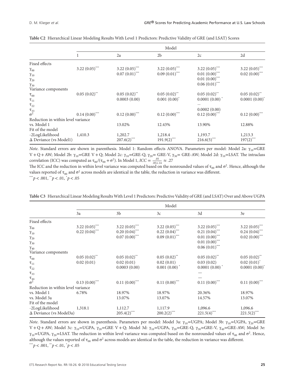|                                    | Model                      |                            |                            |                            |                            |  |  |
|------------------------------------|----------------------------|----------------------------|----------------------------|----------------------------|----------------------------|--|--|
|                                    | л.                         | 2a                         | 2 <sub>b</sub>             | 2c                         | 2d                         |  |  |
| Fixed effects                      |                            |                            |                            |                            |                            |  |  |
| $\gamma_{00}$                      | 3.22 $(0.05)$ ***          | 3.22 $(0.05)$ ***          | 3.22 $(0.05)$ ***          | 3.22 $(0.05)$ ***          | 3.22 $(0.05)$ ***          |  |  |
| $\gamma_{10}$                      |                            | $0.07(0.01)$ ***           | $0.09(0.01)$ ***           | $0.01(0.00)$ ***           | $0.02(0.00)$ ***           |  |  |
| $\gamma_{20}$                      |                            |                            |                            | $0.01(0.00)$ ***           |                            |  |  |
| $\gamma_{30}$                      |                            |                            |                            | $0.06(0.01)$ ***           |                            |  |  |
| Variance components                |                            |                            |                            |                            |                            |  |  |
| $\tau_{_{00}}$                     | $0.05(0.02)$ <sup>**</sup> | $0.05(0.02)$ <sup>**</sup> | $0.05(0.02)$ <sup>**</sup> | $0.05(0.02)$ <sup>**</sup> | $0.05(0.02)$ <sup>**</sup> |  |  |
| $\tau_{11}$                        |                            | 0.0003(0.00)               | $0.001(0.00)^{*}$          | $0.0001(0.00)^*$           | $0.0001(0.00)^{*}$         |  |  |
| $\tau_{22}$                        |                            |                            |                            |                            |                            |  |  |
|                                    |                            |                            |                            | 0.0002(0.00)               |                            |  |  |
| $\frac{\tau_{33}}{\sigma^2}$       | $0.14(0.00)$ ***           | $0.12(0.00)$ ***           | $0.12(0.00)$ ***           | $0.12(0.00)$ ***           | $0.12(0.00)$ ***           |  |  |
| Reduction in within level variance |                            |                            |                            |                            |                            |  |  |
| vs. Model 1                        |                            | 13.02%                     | 12.43%                     | 13.90%                     | 12.88%                     |  |  |
| Fit of the model                   |                            |                            |                            |                            |                            |  |  |
| -2LogLikelihood                    | 1,410.3                    | 1,202.7                    | 1,218.4                    | 1,193.7                    | 1,213.3                    |  |  |
| $\Delta$ Deviance (vs Model1)      |                            | $207.6(2)$ ***             | $191.9(2)$ ***             | $216.6(5)$ <sup>***</sup>  | $197(2)$ ***               |  |  |

| Table C2 Hierarchical Linear Modeling Results With Level 1 Predictors: Predictive Validity of GRE (and LSAT) Scores |
|---------------------------------------------------------------------------------------------------------------------|
|---------------------------------------------------------------------------------------------------------------------|

*Note*. Standard errors are shown in parenthesis. Model 1: Random effects ANOVA. Parameters per model: Model 2a: γ<sub>10</sub>=GRE V + Q + AW; Model 2b: γ<sub>10</sub>=GRE V + Q; Model 2c: γ<sub>10</sub>=GRE-Q, γ<sub>20</sub>= GRE-V, γ<sub>30</sub>= GRE-AW; Model 2d: γ<sub>10</sub>=LSAT. The intraclass correlation (ICC) was computed as  $\tau_{00}/(\tau_{00} + \sigma^2)$ . In Model 1, *ICC* =  $\frac{0.05}{0.05+1.14} \approx .27$ 

The ICC and the reduction in within level variance was computed based on the nonrounded values of  $\tau_{00}$  and  $\sigma^2$ . Hence, although the values reported of  $\tau_{00}$  and  $\sigma^2$  across models are identical in the table, the reduction in variance was different.

\*\*\**p<*.001, \*\**p<*.01, \* *p<*.05

**Table C3** Hierarchical Linear Modeling Results With Level 1 Predictors: Predictive Validity of GRE (and LSAT) Over and Above UGPA

|                                    | Model                      |                   |                   |                   |                    |  |  |
|------------------------------------|----------------------------|-------------------|-------------------|-------------------|--------------------|--|--|
|                                    | 3a                         | 3 <sub>b</sub>    | 3c                | 3d                | 3e                 |  |  |
| Fixed effects                      |                            |                   |                   |                   |                    |  |  |
| $\gamma_{00}$                      | 3.22 $(0.05)$ ***          | 3.22 $(0.05)$ *** | 3.22 $(0.05)$ *** | $3.22 (0.05)$ *** | 3.22 $(0.05)$ ***  |  |  |
| $\gamma_{10}$                      | $0.22(0.04)$ ***           | $0.20(0.04)$ ***  | $0.22(0.04)$ ***  | $0.21(0.04)$ ***  | $0.24(0.04)$ ***   |  |  |
| $\gamma_{20}$                      |                            | $0.07(0.00)$ ***  | $0.09(0.01)$ ***  | $0.01(0.00)$ ***  | $0.02(0.00)$ ***   |  |  |
| $\gamma_{30}$                      |                            |                   |                   | $0.01(0.00)$ ***  |                    |  |  |
| $\gamma_{40}$                      |                            |                   |                   | $0.06(0.01)$ ***  |                    |  |  |
| Variance components                |                            |                   |                   |                   |                    |  |  |
| $\tau_{_{00}}$                     | $0.05(0.02)$ <sup>**</sup> | $0.05(0.02)$ **   | $0.05(0.02)$ **   | $0.05(0.02)$ **   | $0.05(0.02)$ **    |  |  |
| $\tau_{11}$                        | 0.02(0.01)                 | 0.02(0.01)        | 0.02(0.01)        | 0.03(0.02)        | $0.02(0.01)^{*}$   |  |  |
| $\tau_{22}$                        |                            | 0.0003(0.00)      | $0.001(0.00)^*$   | $0.0001(0.00)^*$  | $0.0001(0.00)^{*}$ |  |  |
| $\tau_{\scriptscriptstyle 33}$     |                            |                   |                   |                   |                    |  |  |
| $\frac{\tau_{44}}{\sigma^2}$       |                            |                   |                   |                   |                    |  |  |
|                                    | $0.13(0.00)$ ***           | $0.11(0.00)$ ***  | $0.11(0.00)$ ***  | $0.11(0.00)$ ***  | $0.11(0.00)$ ***   |  |  |
| Reduction in within level variance |                            |                   |                   |                   |                    |  |  |
| vs. Model 1                        | 6.78%                      | 18.97%            | 18.97%            | 20.36%            | 18.97%             |  |  |
| vs. Model 3a                       |                            | 13.07%            | 13.07%            | 14.57%            | 13.07%             |  |  |
| Fit of the model                   |                            |                   |                   |                   |                    |  |  |
| -2LogLikelihood                    | 1,318.1                    | 1,112.7           | 1,117.9           | 1,096.6           | 1,096.6            |  |  |
| $\Delta$ Deviance (vs Model3a)     |                            | $205.4(2)$ ***    | $200.2(2)$ ***    | $221.5(4)$ ***    | $221.5(2)$ ***     |  |  |

*Note*. Standard errors are shown in parenthesis. Parameters per model: Model 3a: γ<sub>10</sub>=UGPA; Model 3b: γ<sub>10</sub>=UGPA, γ<sub>20</sub>=GRE V + Q + AW; Model 3c:  $\gamma_{10}$ =UGPA,  $\gamma_{20}$ =GRE V + Q; Model 3d:  $\gamma_{10}$ =UGPA,  $\gamma_{20}$ =GRE-Q,  $\gamma_{30}$ =GRE-V,  $\gamma_{40}$ =GRE-AW; Model 3e:  $\gamma_{10}$ =UGPA,  $\gamma_{20}$ =LSAT. The reduction in within level variance was computed based on the nonrounded values of τ<sub>00</sub> and  $\sigma^2$ . Hence, although the values reported of  $\tau_{00}$  and  $\sigma^2$  across models are identical in the table, the reduction in variance was different. \*\*\**p<*.001, \*\**p<*.01, \* *p<*.05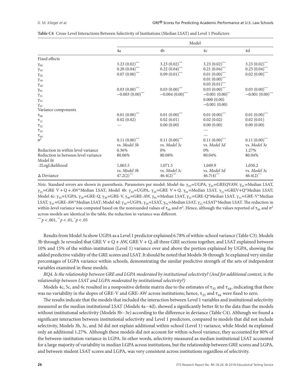|                                     | Model              |                    |                     |                    |  |  |
|-------------------------------------|--------------------|--------------------|---------------------|--------------------|--|--|
|                                     | 4a                 | 4b                 | 4c                  | 4d                 |  |  |
| Fixed effects                       |                    |                    |                     |                    |  |  |
| $\gamma_{00}$                       | 3.23 $(0.02)$ ***  | 3.23 $(0.02)$ ***  | 3.23 $(0.02)$ ***   | 3.23 $(0.02)$ ***  |  |  |
| $\gamma_{10}$                       | $0.20(0.04)$ ***   | $0.22(0.04)$ ***   | $0.21(0.04)$ ***    | $0.23(0.04)$ ***   |  |  |
| $\gamma_{20}$                       | $0.07(0.00)$ ***   | $0.09(0.01)$ ***   | $0.01(0.00)$ ***    | $0.02(0.00)$ ***   |  |  |
| $\gamma_{30}$                       |                    |                    | $0.01(0.00)$ ***    |                    |  |  |
| $\gamma_{40}$                       |                    |                    | $0.05(0.01)$ ***    |                    |  |  |
| $\gamma_{01}$                       | $0.03(0.00)$ ***   | $0.03(0.00)$ ***   | $0.03(0.00)$ ***    | $0.03(0.00)$ ***   |  |  |
| $\gamma_{21}$                       | $-0.003(0.00)$ *** | $-0.004(0.00)$ *** | $-0.001(0.00)^{**}$ | $-0.001(0.00)$ *** |  |  |
| $\gamma_{31}$                       |                    |                    | 0.000(0.00)         |                    |  |  |
| $\gamma_{41}$                       |                    |                    | $-0.001(0.00)$      |                    |  |  |
| Variance components                 |                    |                    |                     |                    |  |  |
| $\tau_{_{00}}$                      | $0.01~(0.00)$ ***  | $0.01~(0.00)$ ***  | $0.01(0.00)$ ***    | $0.01(0.00)$ ***   |  |  |
| $\tau_{\scriptscriptstyle 11}$      | 0.02(0.02)         | 0.02(0.01)         | 0.02(0.02)          | 0.02(0.01)         |  |  |
| $\tau_{22}$                         |                    | 0.00(0.00)         | 0.00(0.00)          | 0.00(0.00)         |  |  |
| $\tau_{33}$                         |                    |                    |                     |                    |  |  |
|                                     |                    |                    |                     |                    |  |  |
| $\frac{\tau_{44}}{\sigma^2}$        | $0.11(0.00)$ ***   | $0.11(0.00)$ ***   | $0.11(0.00)$ ***    | $0.11(0.00)$ ***   |  |  |
|                                     | vs. Model 3b       | vs. Model 3c       | vs. Model 3d        | vs. Model 3e       |  |  |
| Reduction in within level variance  | 0.36%              | 0%                 | $0\%$               | 1.27%              |  |  |
| Reduction in between level variance | 80.06%             | 80.08%             | 80.04%              | 80.04%             |  |  |
| Model fit                           |                    |                    |                     |                    |  |  |
| -2LogLikelihood                     | 1,065.5            | 1,071.5            | 1,049.9             | 1,050.2            |  |  |
|                                     | vs. Model 3b       | vs. Model 3c       | vs. Model 3d        | vs. Model 3e       |  |  |
| $\Delta$ Deviance                   | $47.2(2)$ ***      | $46.4(2)$ ***      | $46.7(4)$ ***       | $46.4(2)$ ***      |  |  |

|  |  |  |  |  |  | Table C4 Cross-Level Interactions Between Selectivity of Institutions (Median LSAT) and Level 1 Predictors |  |  |  |  |  |  |
|--|--|--|--|--|--|------------------------------------------------------------------------------------------------------------|--|--|--|--|--|--|
|--|--|--|--|--|--|------------------------------------------------------------------------------------------------------------|--|--|--|--|--|--|

*Note*. Standard errors are shown in parenthesis. Parameters per model: Model 4a: γ<sub>10</sub>=UGPA, γ<sub>20</sub>=GREQVAW, γ<sub>01</sub>=Median LSAT,  $\gamma_{21}$ =GRE V + Q + AW\*Median LSAT; Model 4b:  $\gamma_{10}$ =UGPA,  $\gamma_{20}$ =GRE V + Q,  $\gamma_{01}$ =Median LSAT,  $\gamma_{21}$ =GREV+Q\*Median LSAT; Model 4c:  $\gamma_{10}$ =UGPA,  $\gamma_{20}$ =GRE-Q,  $\gamma_{30}$ =GRE-V,  $\gamma_{40}$ =GRE-AW,  $\gamma_{01}$ =Median LSAT,  $\gamma_{21}$ =GRE-Q\*Median LSAT,  $\gamma_{31}$ =GRE-V\*Median LSAT,  $\gamma_{41}$ =GRE-AW\*Median LSAT; Model 4d:  $\gamma_{10}$ =UGPA,  $\gamma_{20}$ =LSAT,  $\gamma_{01}$ =Median LSAT,  $\gamma_{21}$ =LSAT\*Median LSAT. The reduction in within-level variance was computed based on the nonrounded values of  $\tau_{00}$  and  $\sigma^2$ . Hence, although the values reported of  $\tau_{00}$  and  $\sigma^2$ across models are identical in the table, the reduction in variance was different.

\*\*\**p<*.001, \*\**p<*.01, \* *p<*.05

Results from Model 3a show UGPA as a Level 1 predictor explained 6.78% of within-school variance (Table C3). Models 3b through 3e revealed that GRE V + Q + AW, GRE V + Q, all three GRE sections together, and LSAT explained between 10% and 15% of the within-institution (Level 1) variance over and above the portion explained by UGPA, showing the added predictive validity of the GRE scores and LSAT. It should be noted that Models 3b through 3e explained very similar percentages of LGPA variance within schools, demonstrating the similar predictive strength of the sets of independent variables examined in these models.

*RQ4. Is the relationship between GRE and LGPA moderated by institutional selectivity? (And for additional context, is the relationship between LSAT and LGPA moderated by institutional selectivity?)*

Models 4c, 5c, and 6c resulted in a nonpositive definite matrix due to the estimates of  $\tau_{33}$  and  $\tau_{44}$ , indicating that there was no variability in the slopes of GRE-V and GRE-AW across institutions; hence,  $\tau_{33}$  and  $\tau_{44}$  were fixed to zero.

The results indicate that the models that included the interaction between Level 1 variables and institutional selectivity measured as the median institutional LSAT (Models 4a–4d), showed a significantly better fit to the data than the models without institutional selectivity (Models 3b–3e) according to the difference in deviance (Table C4). Although we found a significant interaction between institutional selectivity and Level 1 predictors, compared to models that did not include selectivity, Models 3b, 3c, and 3d did not explain additional within-school (Level 1) variance, while Model 4a explained only an additional 1.27%. Although these models did not account for within-school variance, they accounted for 80% of the between-institution variance in LGPA. In other words, selectivity measured as median institutional LSAT accounted for a large majority of variability in median LGPA across institutions, but the relationship between GRE scores and LGPA, and between student LSAT scores and LGPA, was very consistent across institutions regardless of selectivity.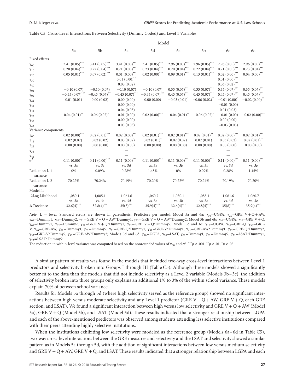|                           | Model                       |                              |                              |                   |                   |                             |                             |                             |
|---------------------------|-----------------------------|------------------------------|------------------------------|-------------------|-------------------|-----------------------------|-----------------------------|-----------------------------|
|                           | 5a                          | 5b                           | 5c                           | 5d                | 6a                | 6b                          | 6c                          | 6d                          |
| Fixed effects             |                             |                              |                              |                   |                   |                             |                             |                             |
| $\gamma_{00}$             | 3.41 $(0.05)$ ***           | 3.41 $(0.05)$ <sup>***</sup> | 3.41 $(0.05)$ <sup>***</sup> | 3.41 $(0.05)$ *** | $2.96(0.05)$ ***  | $2.96(0.05)$ ***            | $2.96(0.05)$ ***            | $2.96(0.05)$ ***            |
| $\gamma_{10}$             | $0.20(0.04)$ ***            | $0.22(0.04)$ ***             | $0.21 (0.05)$ ***            | $0.23(0.04)$ ***  | $0.20(0.04)$ ***  | $0.22(0.04)$ ***            | $0.21 (0.05)$ ***           | $0.23(0.04)$ ***            |
| $\gamma_{20}$             | $0.05(0.01)$ ***            | $0.07(0.02)$ ***             | $0.01\;(0.00)^{***}$         | $0.02(0.00)$ ***  | $0.09(0.01)$ ***  | $0.13(0.01)$ ***            | $0.02\;{(0.00)}^{***}$      | $0.04(0.00)$ ***            |
| $\gamma_{30}$             |                             |                              | $0.01(0.00)$ **              |                   |                   |                             | $0.01\;{(0.00)}^{***}$      |                             |
| $\gamma_{40}$             |                             |                              | 0.03(0.02)                   |                   |                   |                             | $0.06(0.02)$ ***            |                             |
| $\gamma_{01}$             | $-0.10(0.07)$               | $-0.10(0.07)$                | $-0.10(0.07)$                | $-0.10(0.07)$     | $0.35(0.07)$ ***  | $0.35(0.07)$ ***            | $0.35(0.07)$ ***            | $0.35(0.07)$ ***            |
| $\gamma_{02}$             | $-0.45(0.07)$ ***           | $-0.45(0.07)$ ***            | $-0.45(0.07)$ **             | $-0.45(0.07)$ *** | $0.45(0.07)$ ***  | $0.45(0.07)$ ***            | $0.45(0.07)$ ***            | $0.45(0.07)$ ***            |
| $\gamma_{21}$             | 0.01(0.01)                  | 0.00(0.02)                   | 0.00(0.00)                   | 0.00(0.00)        | $-0.03(0.01)^{*}$ | $-0.06(0.02)^{**}$          | $-0.01(0.00)^{y}$           | $-0.02(0.00)^{**}$          |
| $\gamma_{31}$             |                             |                              | 0.00(0.00)                   |                   |                   |                             | $-0.01(0.00)$               |                             |
| $\gamma_{41}$             |                             |                              | 0.04(0.03)                   |                   |                   |                             | 0.01(0.03)                  |                             |
| $\gamma_{22}$             | $0.04(0.01)$ <sup>**</sup>  | $0.06(0.02)^{*}$             | 0.01(0.00)                   | $0.02(0.00)$ ***  | $-0.04(0.01)^{4}$ | $-0.06(0.02)^{*}$           | $-0.01(0.00)$               | $-0.02(0.00)$ ***           |
| $\gamma_{32}$             |                             |                              | 0.00(0.00)                   |                   |                   |                             | 0.00(0.00)                  |                             |
| $\gamma_{42}$             |                             |                              | 0.03(0.03)                   |                   |                   |                             | $-0.03(0.03)$               |                             |
| Variance components       |                             |                              |                              |                   |                   |                             |                             |                             |
| $\tau_{00}$               | $0.02(0.00)$ ***            | $0.02(0.01)$ ***             | $0.02(0.00)$ ***             | $0.02(0.01)$ ***  | $0.02(0.01)$ ***  | $0.02(0.01)$ **             | $0.02(0.00)$ ***            | $0.02(0.01)$ ***            |
| $\tau_{11}$               | 0.02(0.02)                  | 0.02(0.02)                   | 0.03(0.02)                   | $0.02(0.01)^{*}$  | 0.02(0.02)        | 0.02(0.01)                  | 0.03(0.02)                  | $0.02(0.01)^{*}$            |
| $\tau_{22}$               | 0.00(0.00)                  | 0.00(0.00)                   | 0.00(0.00)                   | 0.00(0.00)        | 0.00(0.00)        | 0.00(0.00)                  | 0.00(0.00)                  | 0.00(0.00)                  |
| $\tau_{33}$               |                             |                              |                              |                   |                   |                             |                             |                             |
| $\tau_{44}$               |                             |                              |                              |                   |                   |                             |                             |                             |
| $\sigma^2$                | $0.11(0.00)$ <sup>***</sup> | $0.11(0.00)$ ***             | $0.11(0.00)$ ***             | $0.11(0.00)$ ***  | $0.11(0.00)$ ***  | $0.11(0.00)$ <sup>***</sup> | $0.11(0.00)$ <sup>***</sup> | $0.11(0.00)$ <sup>***</sup> |
|                           | vs. 3b                      | vs. 3c                       | vs. 3d                       | vs. 3e            | vs. 3b            | vs. 3c                      | vs. 3d                      | vs. 3e                      |
| Reduction L-1<br>variance | 0%                          | 0.09%                        | 0.28%                        | 1.45%             | 0%                | 0.09%                       | 0.28%                       | 1.45%                       |
| Reduction L-2<br>variance | 70.22%                      | 70.24%                       | 70.19%                       | 70.20%            | 70.22%            | 70.24%                      | 70.19%                      | 70.20%                      |
| Model fit                 |                             |                              |                              |                   |                   |                             |                             |                             |
| -2Log Likelihood          | 1,080.1                     | 1,085.1                      | 1,061.6                      | 1,060.7           | 1,080.1           | 1,085.1                     | 1,061.6                     | 1,060.7                     |
|                           | vs. 3b                      | vs. 3c                       | vs. 3d                       | vs. 3e            | vs. 3b            | vs. 3c                      | vs. 3d                      | vs. 3e                      |
| $\Delta$ Deviance         | $32.6(4)$ ***               | $32.8(4)$ ***                | $35(8)$ ***                  | $35.9(4)$ ***     | $32.6(4)$ ***     | $32.8(4)$ ***               | $35(8)$ ***                 | $35.9(4)$ ***               |

*Note*. L = level. Standard errors are shown in parenthesis. Predictors per model: Model 5a and 6a: γ<sub>10</sub>=UGPA, γ<sub>20</sub>=GRE V + Q + AW,  $\gamma_{01}$ =Dummy1,  $\gamma_{02}$ =Dummy2,  $\gamma_{21}$ =GRE V + Q + AW\*Dummy1,  $\gamma_{22}$ =GRE V + Q + AW\*Dummy2; Model 5b and 6b:  $\gamma_{10}$ =UGPA,  $\gamma_{20}$ =GRE V + Q,  $γ_{01}$ =Dummy1,  $γ_{02}$ =Dummy2,  $γ_{21}$ =GRE V + Q\*Dummy1,  $γ_{22}$ =GRE V + Q\*Dummy2; Model 5c and 6c:  $γ_{10}$ =UGPA,  $γ_{20}$ =GRE-Q,  $γ_{30}$ =GRE-V, γ<sub>40</sub>=GRE-AW, γ<sub>01</sub>=Dummy1, γ<sub>02</sub>=Dummy2, γ<sub>21</sub>=GRE-Q\*Dummy1, γ<sub>31</sub>=GRE-V\*Dummy1, γ<sub>41</sub>=GRE-AW\*Dummy1, γ<sub>22</sub>=GRE-Q\*Dummy2,  $\gamma_{32}$ =GRE-V\*Dummy2,  $\gamma_{42}$ =GRE-AW\*Dummy2; Models 5d and 6d:  $\gamma_{10}$ =UGPA,  $\gamma_{20}$ =LSAT,  $\gamma_{01}$ =Dummy1,  $\gamma_{02}$ =Dummy2,  $\gamma_{21}$ =LSAT\*Dummy1,  $γ_{22}$ =LSAT\*Dummy2.

The reduction in within-level variance was computed based on the nonrounded values of  $\tau_{00}$  and  $\sigma^2$ .  $\sqrt{*p}$  < .001,  $\gamma^*p$  < .01,  $\gamma^*p$  < .05

A similar pattern of results was found in the models that included two-way cross-level interactions between Level 1 predictors and selectivity broken into Groups I through III (Table C5). Although these models showed a significantly better fit to the data than the models that did not include selectivity as a Level 2 variable (Models 3b–3c), the addition of selectivity broken into three groups only explains an additional 1% to 3% of the within school variance. These models explain 70% of between school variance.

Results for Models 5a through 5d (where high selectivity served as the reference group) showed no significant interactions between high versus moderate selectivity and any Level 1 predictor (GRE V + Q + AW, GRE V + Q, each GRE section, and LSAT). We found a significant interaction between high versus low selectivity and GRE V + Q + AW (Model 5a), GRE V + Q (Model 5b), and LSAT (Model 5d). These results indicated that a stronger relationship between LGPA and each of the above-mentioned predictors was observed among students attending less selective institutions compared with their peers attending highly selective institutions.

When the institutions exhibiting low selectivity were modeled as the reference group (Models 6a-6d in Table C5), two-way cross-level interactions between the GRE measures and selectivity and the LSAT and selectivity showed a similar pattern as in Models 5a through 5d, with the addition of significant interactions between low versus medium selectivity and GRE V + Q + AW, GRE V + Q, and LSAT. These results indicated that a stronger relationship between LGPA and each